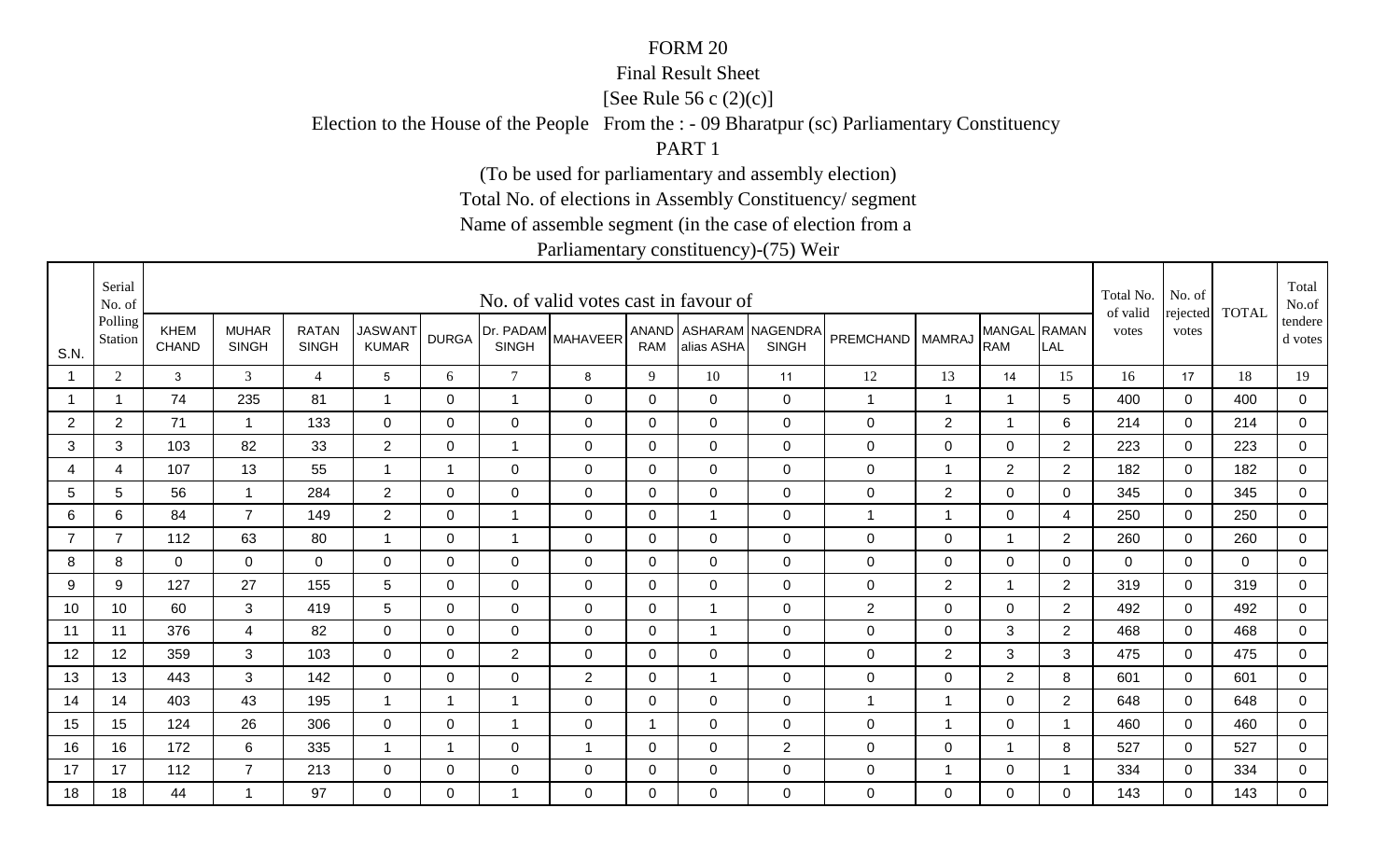#### Final Result Sheet

[See Rule 56 c (2)(c)]

Election to the House of the People From the : - 09 Bharatpur (sc) Parliamentary Constituency

PART 1

(To be used for parliamentary and assembly election)

Total No. of elections in Assembly Constituency/ segment

Name of assemble segment (in the case of election from a

|                | Serial<br>No. of   |                             |                              |                              |                                |                |                           | No. of valid votes cast in favour of |             |                |                                        |                  |                |                            |                | Total No.<br>of valid | No. of            | <b>TOTAL</b> | Total<br>No.of     |
|----------------|--------------------|-----------------------------|------------------------------|------------------------------|--------------------------------|----------------|---------------------------|--------------------------------------|-------------|----------------|----------------------------------------|------------------|----------------|----------------------------|----------------|-----------------------|-------------------|--------------|--------------------|
| S.N.           | Polling<br>Station | <b>KHEM</b><br><b>CHAND</b> | <b>MUHAR</b><br><b>SINGH</b> | <b>RATAN</b><br><b>SINGH</b> | <b>JASWANT</b><br><b>KUMAR</b> | <b>DURGA</b>   | Dr. PADAM<br><b>SINGH</b> | <b>MAHAVEER</b>                      | <b>RAM</b>  | alias ASHA     | ANAND ASHARAM NAGENDRA<br><b>SINGH</b> | PREMCHAND        | <b>MAMRAJ</b>  | MANGAL RAMAN<br><b>RAM</b> | LAL            | votes                 | rejected<br>votes |              | tendere<br>d votes |
|                | 2                  | 3                           | 3                            | $\overline{4}$               | 5                              | 6              | $\tau$                    | 8                                    | 9           | 10             | 11                                     | 12               | 13             | 14                         | 15             | 16                    | 17                | 18           | 19                 |
|                | 1                  | 74                          | 235                          | 81                           | $\overline{\mathbf{A}}$        | $\mathbf 0$    | $\overline{1}$            | $\mathbf 0$                          | $\mathbf 0$ | $\overline{0}$ | $\mathbf 0$                            | $\mathbf{1}$     | $\overline{1}$ | $\overline{1}$             | 5              | 400                   | $\mathbf 0$       | 400          | $\mathsf 0$        |
| $\overline{2}$ | $\overline{2}$     | 71                          | $\overline{1}$               | 133                          | $\overline{0}$                 | 0              | $\mathbf 0$               | $\overline{0}$                       | 0           | 0              | $\mathbf 0$                            | $\mathbf 0$      | 2              | 1                          | 6              | 214                   | 0                 | 214          | $\mathbf 0$        |
| 3              | 3                  | 103                         | 82                           | 33                           | $\overline{2}$                 | 0              | 1                         | $\overline{0}$                       | 0           | $\Omega$       | $\mathbf 0$                            | $\mathbf 0$      | 0              | $\mathbf 0$                | $\overline{2}$ | 223                   | $\Omega$          | 223          | $\mathbf 0$        |
| 4              | $\overline{4}$     | 107                         | 13                           | 55                           | $\overline{1}$                 | $\overline{1}$ | $\mathbf 0$               | $\mathbf 0$                          | $\mathbf 0$ | $\overline{0}$ | $\mathbf 0$                            | $\mathbf 0$      | $\overline{1}$ | $\overline{2}$             | $\overline{2}$ | 182                   | $\Omega$          | 182          | $\mathbf 0$        |
| 5              | 5                  | 56                          | $\mathbf{1}$                 | 284                          | $\overline{2}$                 | $\mathbf 0$    | $\mathbf 0$               | $\mathbf 0$                          | $\mathbf 0$ | $\overline{0}$ | $\mathbf 0$                            | $\mathsf 0$      | 2              | $\overline{0}$             | $\overline{0}$ | 345                   | $\mathbf 0$       | 345          | $\overline{0}$     |
| 6              | 6                  | 84                          | $\overline{7}$               | 149                          | $\overline{2}$                 | $\mathbf 0$    | 1                         | $\mathbf 0$                          | $\mathbf 0$ |                | $\mathbf 0$                            | $\mathbf 1$      | $\mathbf{1}$   | $\mathbf 0$                | 4              | 250                   | $\Omega$          | 250          | $\mathbf 0$        |
|                | $\overline{7}$     | 112                         | 63                           | 80                           |                                | 0              | 1                         | 0                                    | 0           | 0              | $\mathbf 0$                            | 0                | $\mathbf 0$    | $\mathbf 1$                | $\overline{2}$ | 260                   | 0                 | 260          | $\mathbf 0$        |
| 8              | 8                  | $\mathbf 0$                 | 0                            | $\mathbf 0$                  | 0                              | $\Omega$       | 0                         | 0                                    | 0           | $\Omega$       | $\mathbf 0$                            | $\mathbf 0$      | 0              | $\mathbf 0$                | 0              | $\Omega$              | $\mathbf{0}$      | $\mathbf 0$  | 0                  |
| 9              | 9                  | 127                         | 27                           | 155                          | 5                              | $\Omega$       | 0                         | $\overline{0}$                       | 0           | $\Omega$       | $\mathbf 0$                            | $\mathbf 0$      | $\overline{2}$ |                            | 2              | 319                   | $\Omega$          | 319          | 0                  |
| 10             | 10                 | 60                          | 3                            | 419                          | 5                              | $\Omega$       | $\mathbf 0$               | $\mathbf 0$                          | 0           |                | $\mathbf 0$                            | $\overline{2}$   | $\mathbf 0$    | $\mathbf 0$                | $\overline{2}$ | 492                   | $\Omega$          | 492          | $\mathbf 0$        |
| 11             | 11                 | 376                         | 4                            | 82                           | 0                              | $\Omega$       | $\mathbf 0$               | $\overline{0}$                       | 0           |                | $\mathbf 0$                            | 0                | 0              | 3                          | 2              | 468                   | $\Omega$          | 468          | 0                  |
| 12             | 12                 | 359                         | 3                            | 103                          | 0                              | 0              | $\overline{2}$            | 0                                    | 0           | 0              | $\mathbf 0$                            | $\mathbf 0$      | $\overline{2}$ | 3                          | 3              | 475                   | 0                 | 475          | $\mathbf 0$        |
| 13             | 13                 | 443                         | 3                            | 142                          | $\mathbf 0$                    | 0              | $\mathbf 0$               | 2                                    | 0           | -1             | $\mathbf 0$                            | $\mathbf 0$      | 0              | $\overline{2}$             | 8              | 601                   | $\Omega$          | 601          | $\mathbf 0$        |
| 14             | 14                 | 403                         | 43                           | 195                          | $\overline{\mathbf{1}}$        | $\overline{1}$ | $\overline{1}$            | $\overline{0}$                       | 0           | 0              | $\mathbf 0$                            | $\mathbf{1}$     | $\mathbf 1$    | $\mathbf 0$                | $\overline{2}$ | 648                   | $\Omega$          | 648          | $\mathbf 0$        |
| 15             | 15                 | 124                         | 26                           | 306                          | $\overline{0}$                 | 0              | 1                         | $\overline{0}$                       | $\mathbf 1$ | $\mathbf 0$    | $\mathbf 0$                            | $\mathbf 0$      | $\overline{1}$ | $\mathbf 0$                | -1             | 460                   | 0                 | 460          | 0                  |
| 16             | 16                 | 172                         | 6                            | 335                          |                                | -1             | $\mathbf 0$               | $\overline{1}$                       | 0           | $\Omega$       | 2                                      | $\boldsymbol{0}$ | $\mathbf 0$    | 1                          | 8              | 527                   | 0                 | 527          | $\mathbf 0$        |
| 17             | 17                 | 112                         | $\overline{7}$               | 213                          | $\mathbf 0$                    | 0              | $\mathbf 0$               | $\overline{0}$                       | 0           | $\Omega$       | $\mathbf 0$                            | $\pmb{0}$        | -1             | $\mathbf 0$                |                | 334                   | 0                 | 334          | $\overline{0}$     |
| 18             | 18                 | 44                          | -1                           | 97                           | $\overline{0}$                 | $\Omega$       | -1                        | $\Omega$                             | $\Omega$    | $\Omega$       | $\mathbf 0$                            | 0                | $\Omega$       | $\overline{0}$             | $\Omega$       | 143                   | $\Omega$          | 143          | $\overline{0}$     |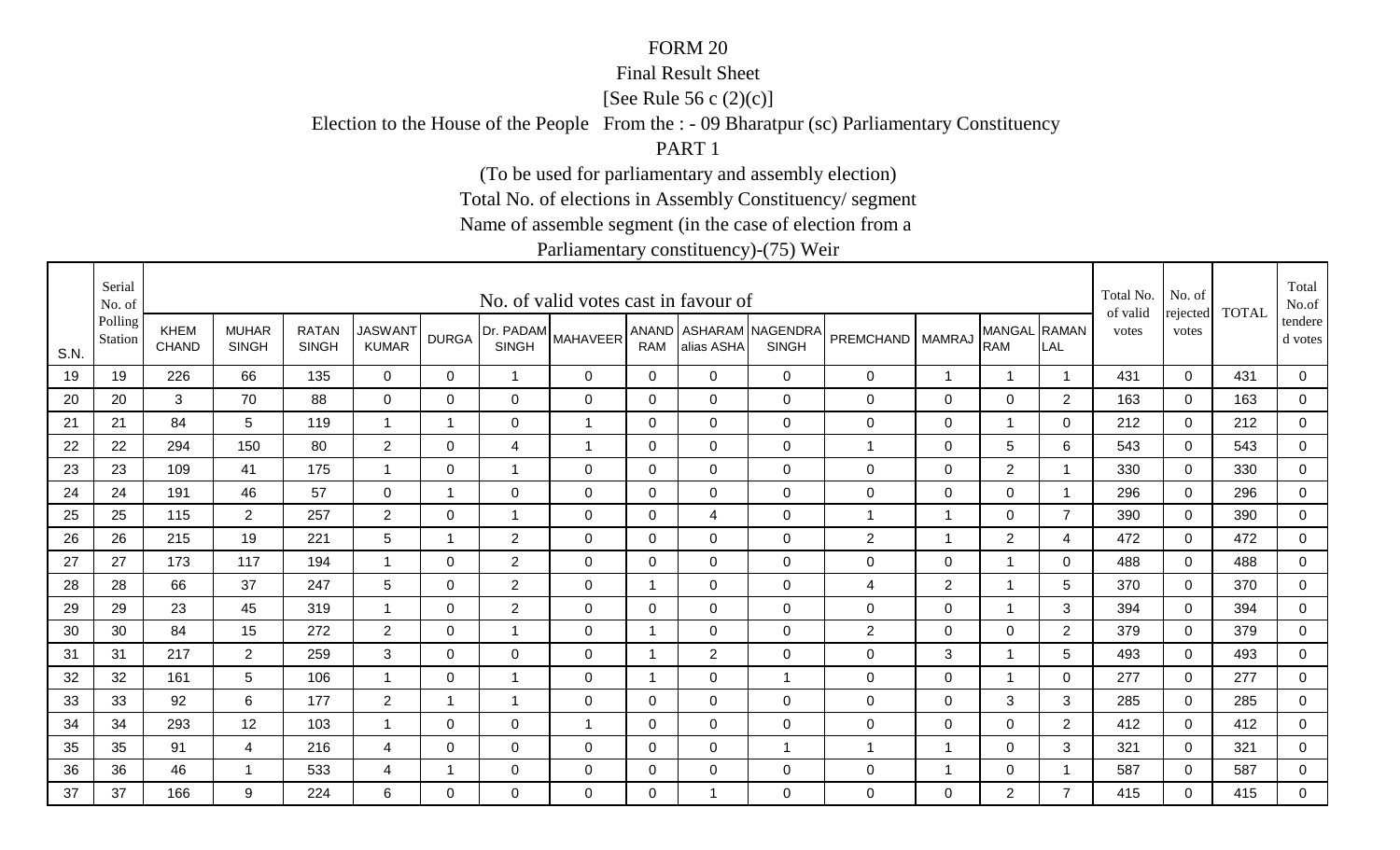#### Final Result Sheet

[See Rule 56 c (2)(c)]

Election to the House of the People From the : - 09 Bharatpur (sc) Parliamentary Constituency

PART 1

(To be used for parliamentary and assembly election)

Total No. of elections in Assembly Constituency/ segment

Name of assemble segment (in the case of election from a

|      | Serial<br>No. of   |                             |                              |                              |                                |                         |                | No. of valid votes cast in favour of |                |                |                                        |                    |                |                            |                | Total No.<br>of valid | No. of            | <b>TOTAL</b> | Total<br>No.of     |
|------|--------------------|-----------------------------|------------------------------|------------------------------|--------------------------------|-------------------------|----------------|--------------------------------------|----------------|----------------|----------------------------------------|--------------------|----------------|----------------------------|----------------|-----------------------|-------------------|--------------|--------------------|
| S.N. | Polling<br>Station | <b>KHEM</b><br><b>CHAND</b> | <b>MUHAR</b><br><b>SINGH</b> | <b>RATAN</b><br><b>SINGH</b> | <b>JASWANT</b><br><b>KUMAR</b> | <b>DURGA</b>            | <b>SINGH</b>   | [Dr. PADAM MAHAVEER <sup>1</sup>     | <b>RAM</b>     | alias ASHA     | ANAND ASHARAM NAGENDRA<br><b>SINGH</b> | PREMCHAND   MAMRAJ |                | MANGAL RAMAN<br><b>RAM</b> | LAL            | votes                 | rejected<br>votes |              | tendere<br>d votes |
| 19   | 19                 | 226                         | 66                           | 135                          | $\mathbf 0$                    | $\mathbf{0}$            | $\overline{1}$ | $\mathbf 0$                          | $\mathbf 0$    | $\mathbf 0$    | $\mathbf 0$                            | 0                  | 1              | $\overline{1}$             |                | 431                   | $\mathbf 0$       | 431          | $\mathbf 0$        |
| 20   | 20                 | 3                           | 70                           | 88                           | $\mathbf 0$                    | $\Omega$                | $\mathbf 0$    | $\mathbf 0$                          | $\overline{0}$ | $\overline{0}$ | $\overline{0}$                         | 0                  | $\mathsf 0$    | $\mathbf 0$                | $\overline{2}$ | 163                   | $\mathbf 0$       | 163          | $\mathbf 0$        |
| 21   | 21                 | 84                          | 5                            | 119                          | -1                             | 1                       | $\mathbf 0$    | $\overline{1}$                       | $\mathbf 0$    | $\mathbf 0$    | $\mathbf 0$                            | 0                  | $\mathbf 0$    | $\overline{1}$             | $\mathbf 0$    | 212                   | 0                 | 212          | $\mathbf 0$        |
| 22   | 22                 | 294                         | 150                          | 80                           | $\overline{2}$                 | $\Omega$                | $\overline{4}$ | $\mathbf 1$                          | 0              | $\Omega$       | $\overline{0}$                         | 1                  | $\mathbf 0$    | $5\phantom{.0}$            | 6              | 543                   | $\mathbf 0$       | 543          | $\mathbf 0$        |
| 23   | 23                 | 109                         | 41                           | 175                          | $\overline{1}$                 | $\mathbf 0$             | $\overline{1}$ | $\mathbf 0$                          | $\overline{0}$ | $\Omega$       | $\overline{0}$                         | 0                  | $\mathsf 0$    | $\overline{2}$             |                | 330                   | $\mathbf 0$       | 330          | $\mathbf 0$        |
| 24   | 24                 | 191                         | 46                           | 57                           | $\overline{0}$                 | $\mathbf 1$             | $\mathbf 0$    | $\mathbf 0$                          | $\mathbf 0$    | $\mathbf 0$    | $\mathbf 0$                            | 0                  | $\mathsf 0$    | $\mathbf 0$                | $\overline{1}$ | 296                   | $\mathbf 0$       | 296          | $\mathbf 0$        |
| 25   | 25                 | 115                         | $\overline{2}$               | 257                          | $\overline{2}$                 | $\Omega$                | 1              | $\mathbf 0$                          | 0              | $\overline{4}$ | $\overline{0}$                         | $\overline{1}$     | $\overline{1}$ | $\mathbf 0$                | $\overline{7}$ | 390                   | $\mathbf 0$       | 390          | $\mathbf 0$        |
| 26   | 26                 | 215                         | 19                           | 221                          | $5\overline{)}$                | $\mathbf 1$             | $\overline{2}$ | 0                                    | 0              | 0              | $\mathbf 0$                            | $\overline{c}$     | $\overline{1}$ | $\overline{2}$             | $\overline{4}$ | 472                   | $\mathbf 0$       | 472          | $\mathbf 0$        |
| 27   | 27                 | 173                         | 117                          | 194                          | -1                             | 0                       | $\overline{c}$ | 0                                    | 0              | 0              | $\mathbf 0$                            | 0                  | $\mathbf 0$    | $\overline{1}$             | 0              | 488                   | $\mathbf 0$       | 488          | $\mathbf 0$        |
| 28   | 28                 | 66                          | 37                           | 247                          | 5                              | $\Omega$                | $\overline{2}$ | 0                                    | -1             | 0              | $\overline{0}$                         | 4                  | $\overline{2}$ | $\overline{1}$             | 5              | 370                   | $\mathbf{0}$      | 370          | $\mathbf 0$        |
| 29   | 29                 | 23                          | 45                           | 319                          | $\overline{1}$                 | $\Omega$                | $\overline{2}$ | $\mathbf 0$                          | 0              | $\Omega$       | $\mathbf 0$                            | 0                  | $\mathsf 0$    | $\overline{1}$             | 3              | 394                   | $\mathbf 0$       | 394          | $\mathbf 0$        |
| 30   | 30                 | 84                          | 15                           | 272                          | $\overline{2}$                 | 0                       | $\overline{1}$ | $\mathbf 0$                          | -1             | 0              | $\overline{0}$                         | $\overline{2}$     | 0              | $\mathbf 0$                | $\overline{2}$ | 379                   | $\mathbf 0$       | 379          | $\mathbf 0$        |
| 31   | 31                 | 217                         | $\overline{2}$               | 259                          | 3                              | 0                       | 0              | 0                                    | -1             | $\overline{2}$ | $\mathbf 0$                            | 0                  | 3              | $\overline{1}$             | 5              | 493                   | $\mathbf 0$       | 493          | $\mathbf 0$        |
| 32   | 32                 | 161                         | 5 <sup>5</sup>               | 106                          | -1                             | 0                       | 1              | 0                                    | -1             | 0              | $\mathbf{1}$                           | $\mathbf 0$        | $\mathbf 0$    | $\overline{1}$             | 0              | 277                   | $\mathbf 0$       | 277          | $\mathbf 0$        |
| 33   | 33                 | 92                          | 6                            | 177                          | $\overline{2}$                 | $\overline{\mathbf{1}}$ | $\overline{1}$ | 0                                    | 0              | 0              | $\mathbf 0$                            | 0                  | $\mathbf 0$    | 3                          | 3              | 285                   | $\mathbf 0$       | 285          | $\mathbf 0$        |
| 34   | 34                 | 293                         | 12                           | 103                          | -1                             | 0                       | 0              | $\mathbf{1}$                         | $\mathbf 0$    | $\mathbf 0$    | $\mathbf 0$                            | 0                  | $\mathsf 0$    | $\mathbf 0$                | $\overline{2}$ | 412                   | $\mathbf 0$       | 412          | $\overline{0}$     |
| 35   | 35                 | 91                          | 4                            | 216                          | 4                              | $\Omega$                | $\mathbf 0$    | $\mathbf 0$                          | 0              | 0              | $\overline{1}$                         | $\overline{1}$     | 1              | $\mathbf 0$                | 3              | 321                   | $\mathbf 0$       | 321          | $\mathbf 0$        |
| 36   | 36                 | 46                          | $\mathbf 1$                  | 533                          | 4                              | 1                       | $\mathbf 0$    | 0                                    | 0              | 0              | $\mathbf 0$                            | 0                  | -1             | $\mathbf 0$                |                | 587                   | $\mathbf 0$       | 587          | $\overline{0}$     |
| 37   | 37                 | 166                         | 9                            | 224                          | 6                              | $\Omega$                | $\Omega$       | $\Omega$                             | $\Omega$       |                | $\overline{0}$                         | 0                  | $\Omega$       | $\overline{2}$             | $\overline{7}$ | 415                   | $\Omega$          | 415          | $\overline{0}$     |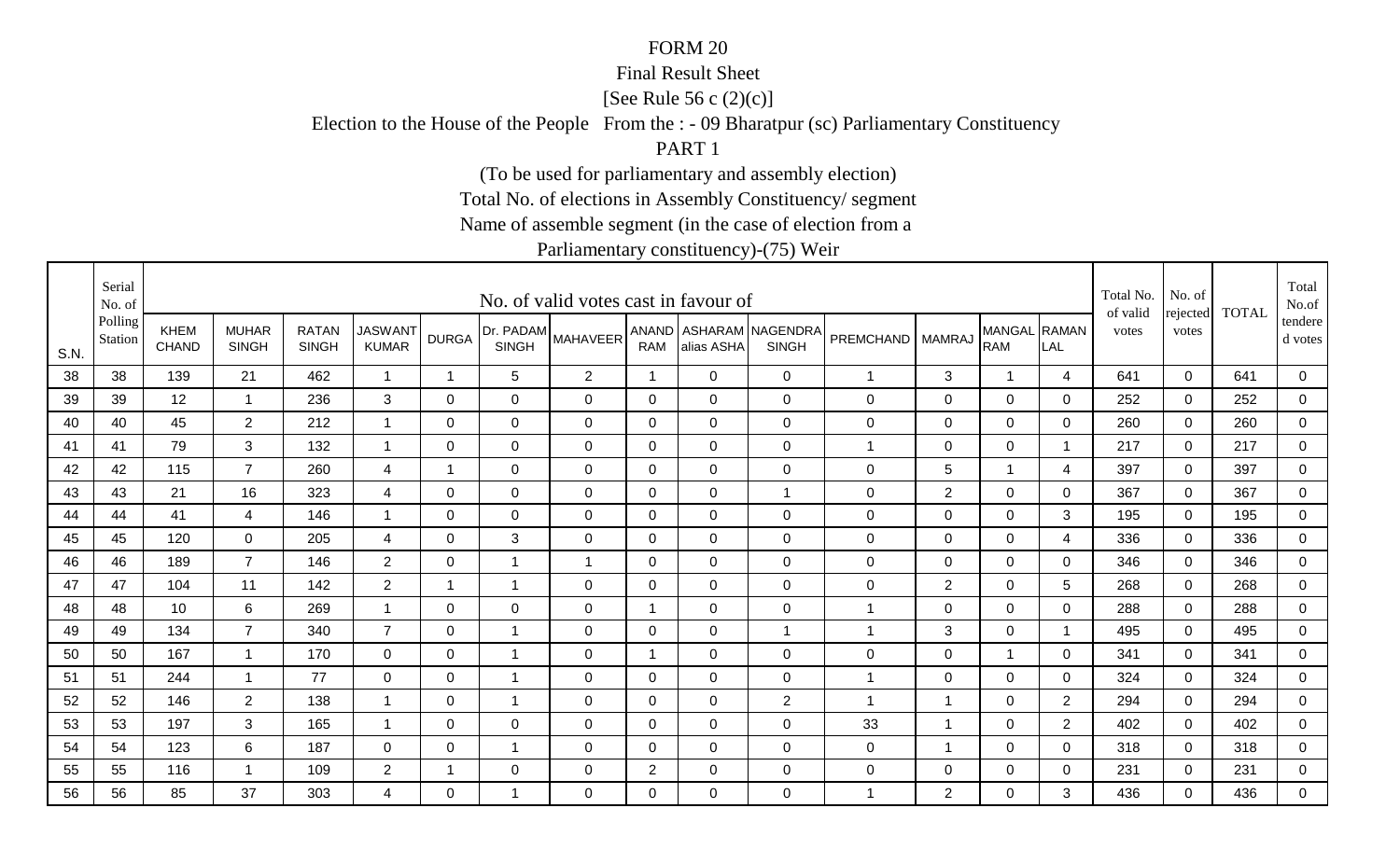#### Final Result Sheet

[See Rule 56 c (2)(c)]

Election to the House of the People From the : - 09 Bharatpur (sc) Parliamentary Constituency

PART 1

(To be used for parliamentary and assembly election)

Total No. of elections in Assembly Constituency/ segment

Name of assemble segment (in the case of election from a

|      | Serial<br>No. of   |                             |                              |                              |                                |                         |                           | No. of valid votes cast in favour of |                |              |                                        |                  |                |                            |                | Total No.<br>of valid | No. of            | <b>TOTAL</b> | Total<br>No.of     |
|------|--------------------|-----------------------------|------------------------------|------------------------------|--------------------------------|-------------------------|---------------------------|--------------------------------------|----------------|--------------|----------------------------------------|------------------|----------------|----------------------------|----------------|-----------------------|-------------------|--------------|--------------------|
| S.N. | Polling<br>Station | <b>KHEM</b><br><b>CHAND</b> | <b>MUHAR</b><br><b>SINGH</b> | <b>RATAN</b><br><b>SINGH</b> | <b>JASWANT</b><br><b>KUMAR</b> | <b>DURGA</b>            | Dr. PADAM<br><b>SINGH</b> | <b>MAHAVEER</b>                      | <b>RAM</b>     | alias ASHA   | ANAND ASHARAM NAGENDRA<br><b>SINGH</b> | PREMCHAND        | <b>MAMRAJ</b>  | MANGAL RAMAN<br><b>RAM</b> | LAL            | votes                 | rejected<br>votes |              | tendere<br>d votes |
| 38   | 38                 | 139                         | 21                           | 462                          | $\overline{1}$                 | $\overline{\mathbf{1}}$ | $5\phantom{.0}$           | $\overline{2}$                       | $\mathbf{1}$   | $\mathbf{0}$ | $\overline{0}$                         | $\mathbf{1}$     | $\mathfrak{B}$ | $\overline{1}$             | $\overline{4}$ | 641                   | $\mathbf 0$       | 641          | $\mathbf 0$        |
| 39   | 39                 | 12                          | 1                            | 236                          | 3                              | $\Omega$                | $\mathbf 0$               | $\mathbf 0$                          | 0              | $\Omega$     | $\overline{0}$                         | $\mathsf 0$      | 0              | $\mathbf 0$                | $\Omega$       | 252                   | $\mathbf 0$       | 252          | $\overline{0}$     |
| 40   | 40                 | 45                          | $\overline{2}$               | 212                          | $\overline{1}$                 | 0                       | $\mathbf 0$               | $\mathbf 0$                          | 0              | 0            | $\mathbf 0$                            | $\mathbf 0$      | $\mathbf 0$    | $\mathbf 0$                | 0              | 260                   | 0                 | 260          | $\mathbf 0$        |
| 41   | 41                 | 79                          | 3                            | 132                          | $\overline{1}$                 | 0                       | 0                         | 0                                    | 0              | $\Omega$     | $\mathbf 0$                            | 1                | $\mathbf 0$    | $\mathbf 0$                |                | 217                   | $\mathbf 0$       | 217          | $\overline{0}$     |
| 42   | 42                 | 115                         | $\overline{7}$               | 260                          | $\overline{4}$                 | 1                       | $\Omega$                  | $\mathbf{0}$                         | $\mathbf{0}$   | $\Omega$     | $\mathbf 0$                            | 0                | 5              | $\overline{1}$             | $\overline{4}$ | 397                   | $\mathbf{0}$      | 397          | $\mathbf 0$        |
| 43   | 43                 | 21                          | 16                           | 323                          | $\overline{4}$                 | 0                       | 0                         | $\mathbf 0$                          | 0              | 0            | $\mathbf{1}$                           | 0                | $\overline{2}$ | $\mathbf 0$                | 0              | 367                   | $\mathbf 0$       | 367          | $\mathbf 0$        |
| 44   | 44                 | 41                          | 4                            | 146                          | $\overline{\mathbf{1}}$        | $\Omega$                | $\mathbf 0$               | $\overline{0}$                       | 0              | 0            | $\mathbf 0$                            | $\mathbf 0$      | $\mathbf 0$    | $\mathbf 0$                | 3              | 195                   | $\mathbf 0$       | 195          | $\mathbf 0$        |
| 45   | 45                 | 120                         | $\overline{0}$               | 205                          | $\overline{4}$                 | $\mathbf 0$             | $\mathbf{3}$              | $\mathbf 0$                          | $\mathbf 0$    | $\mathbf 0$  | $\mathbf 0$                            | 0                | $\pmb{0}$      | $\mathbf 0$                | 4              | 336                   | 0                 | 336          | $\mathbf 0$        |
| 46   | 46                 | 189                         | $\overline{7}$               | 146                          | $\overline{2}$                 | 0                       | -1                        | -1                                   | 0              | 0            | $\mathbf 0$                            | $\mathbf 0$      | $\mathbf 0$    | $\mathbf 0$                | 0              | 346                   | $\mathbf 0$       | 346          | $\overline{0}$     |
| 47   | 47                 | 104                         | 11                           | 142                          | $\overline{2}$                 | 1                       | $\mathbf{1}$              | $\mathbf 0$                          | $\mathbf{0}$   | $\Omega$     | $\overline{0}$                         | $\mathbf 0$      | $\overline{2}$ | $\mathbf 0$                | 5              | 268                   | $\mathbf{0}$      | 268          | $\mathbf 0$        |
| 48   | 48                 | 10                          | 6                            | 269                          | $\overline{1}$                 | 0                       | $\mathbf 0$               | $\mathbf 0$                          | $\overline{1}$ | $\mathbf 0$  | $\mathbf 0$                            | $\overline{1}$   | $\mathsf 0$    | $\mathbf 0$                | 0              | 288                   | $\mathbf 0$       | 288          | $\mathbf 0$        |
| 49   | 49                 | 134                         | $\overline{7}$               | 340                          | $\overline{7}$                 | $\Omega$                | $\mathbf 1$               | $\overline{0}$                       | $\Omega$       | $\Omega$     | $\overline{1}$                         | $\mathbf 1$      | 3              | $\mathbf 0$                | -1             | 495                   | $\mathbf{0}$      | 495          | $\mathbf 0$        |
| 50   | 50                 | 167                         | $\overline{1}$               | 170                          | $\overline{0}$                 | 0                       | $\mathbf 1$               | $\mathbf 0$                          | $\mathbf 1$    | $\mathbf 0$  | $\mathbf 0$                            | $\boldsymbol{0}$ | $\mathsf 0$    | $\mathbf{1}$               | $\mathbf{0}$   | 341                   | $\mathbf 0$       | 341          | $\overline{0}$     |
| 51   | 51                 | 244                         | 1                            | 77                           | $\mathbf 0$                    | $\Omega$                | $\mathbf 1$               | 0                                    | $\mathbf{0}$   | $\Omega$     | $\mathbf 0$                            | $\mathbf{1}$     | 0              | $\mathbf 0$                | $\mathbf{0}$   | 324                   | $\mathbf{0}$      | 324          | $\mathbf 0$        |
| 52   | 52                 | 146                         | $\overline{2}$               | 138                          | $\overline{1}$                 | $\Omega$                | $\mathbf 1$               | 0                                    | $\mathbf{0}$   | $\Omega$     | $\overline{2}$                         | $\mathbf 1$      | 1              | $\mathbf 0$                | 2              | 294                   | $\mathbf{0}$      | 294          | $\overline{0}$     |
| 53   | 53                 | 197                         | 3                            | 165                          | $\overline{\mathbf{1}}$        | 0                       | $\mathbf 0$               | $\mathbf 0$                          | $\mathbf 0$    | $\mathbf 0$  | $\mathbf 0$                            | 33               | 1              | $\mathbf 0$                | $\overline{2}$ | 402                   | $\mathbf 0$       | 402          | $\overline{0}$     |
| 54   | 54                 | 123                         | 6                            | 187                          | 0                              | 0                       | $\mathbf 1$               | $\overline{0}$                       | 0              | 0            | $\mathbf 0$                            | $\mathbf 0$      | -1             | $\mathbf 0$                | $\mathbf 0$    | 318                   | $\mathbf 0$       | 318          | $\mathbf 0$        |
| 55   | 55                 | 116                         | -1                           | 109                          | $\overline{2}$                 |                         | $\mathbf 0$               | $\mathbf 0$                          | $\overline{2}$ | 0            | $\mathbf 0$                            | 0                | $\pmb{0}$      | $\mathbf 0$                | 0              | 231                   | $\mathbf 0$       | 231          | $\mathbf 0$        |
| 56   | 56                 | 85                          | 37                           | 303                          | 4                              | $\Omega$                | -1                        | $\mathbf{0}$                         | $\mathbf{0}$   | $\Omega$     | $\overline{0}$                         | $\mathbf 1$      | 2              | $\mathbf 0$                | 3              | 436                   | $\Omega$          | 436          | $\overline{0}$     |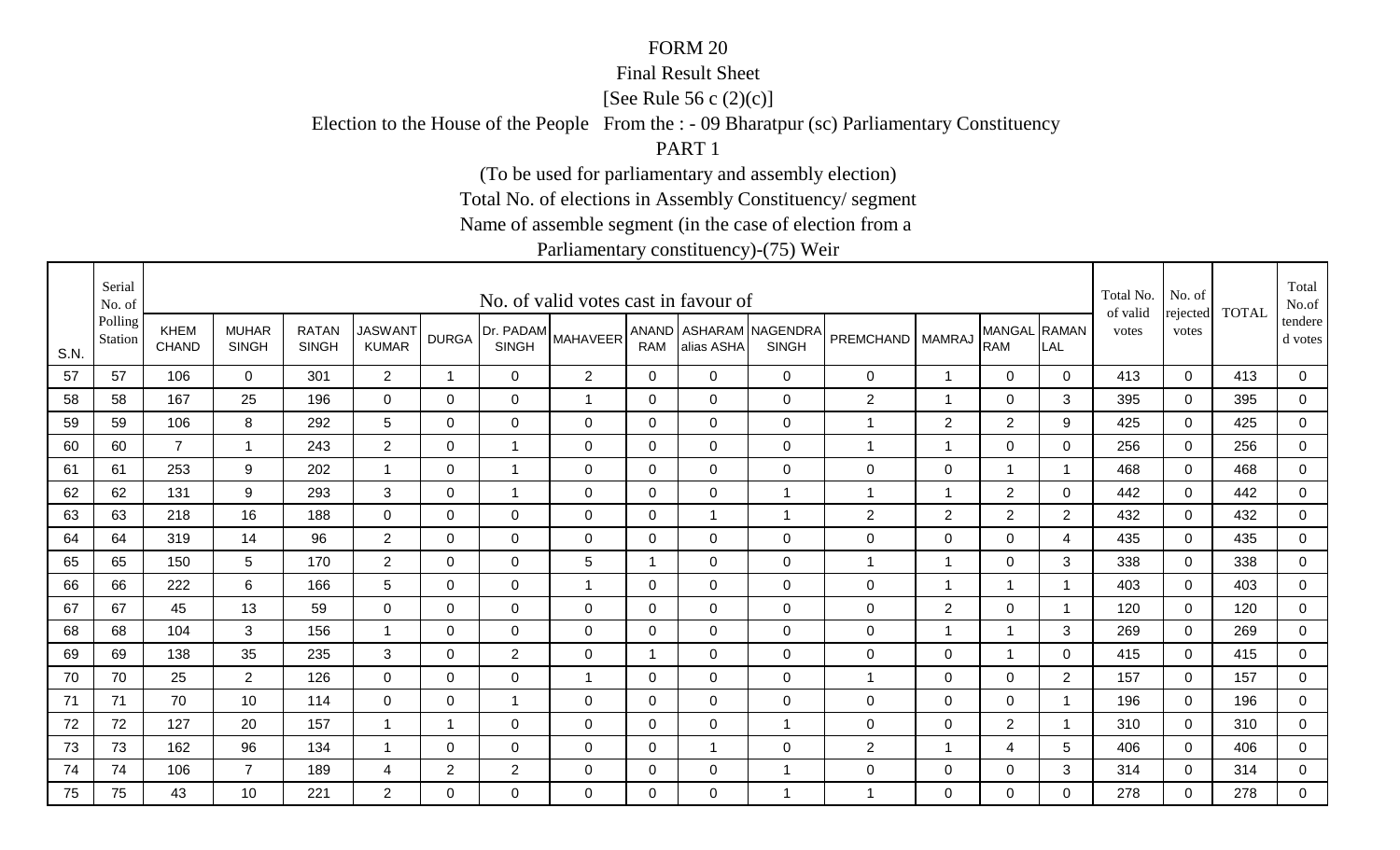#### Final Result Sheet

[See Rule 56 c (2)(c)]

Election to the House of the People From the : - 09 Bharatpur (sc) Parliamentary Constituency

PART 1

(To be used for parliamentary and assembly election)

Total No. of elections in Assembly Constituency/ segment

Name of assemble segment (in the case of election from a

|      | Serial<br>No. of   |                             |                              |                              |                                |                |                | No. of valid votes cast in favour of    |                |             |                                        |                    |                |                            |              | Total No.<br>of valid | No. of            | <b>TOTAL</b> | Total<br>No.of     |
|------|--------------------|-----------------------------|------------------------------|------------------------------|--------------------------------|----------------|----------------|-----------------------------------------|----------------|-------------|----------------------------------------|--------------------|----------------|----------------------------|--------------|-----------------------|-------------------|--------------|--------------------|
| S.N. | Polling<br>Station | <b>KHEM</b><br><b>CHAND</b> | <b>MUHAR</b><br><b>SINGH</b> | <b>RATAN</b><br><b>SINGH</b> | <b>JASWANT</b><br><b>KUMAR</b> | <b>DURGA</b>   | <b>SINGH</b>   | <b>IDr. PADAM</b> MAHAVEER <sup>1</sup> | <b>RAM</b>     | alias ASHA  | ANAND ASHARAM NAGENDRA<br><b>SINGH</b> | PREMCHAND   MAMRAJ |                | MANGAL RAMAN<br><b>RAM</b> | LAL          | votes                 | rejected<br>votes |              | tendere<br>d votes |
| 57   | 57                 | 106                         | $\Omega$                     | 301                          | $\overline{2}$                 | $\overline{1}$ | $\mathbf 0$    | $\overline{2}$                          | $\mathbf 0$    | $\mathbf 0$ | $\mathbf 0$                            | 0                  | 1              | $\mathbf 0$                | 0            | 413                   | $\mathbf 0$       | 413          | 0                  |
| 58   | 58                 | 167                         | 25                           | 196                          | $\mathbf 0$                    | $\Omega$       | $\mathbf 0$    | $\overline{1}$                          | $\mathbf 0$    | $\mathbf 0$ | $\mathbf 0$                            | $\overline{2}$     | $\overline{1}$ | $\mathbf 0$                | 3            | 395                   | $\mathbf 0$       | 395          | $\mathsf 0$        |
| 59   | 59                 | 106                         | 8                            | 292                          | 5                              | 0              | $\mathbf 0$    | 0                                       | 0              | $\mathbf 0$ | $\mathbf 0$                            | $\mathbf 1$        | $\overline{2}$ | $\overline{2}$             | 9            | 425                   | 0                 | 425          | $\mathbf 0$        |
| 60   | 60                 | $\overline{7}$              | $\overline{1}$               | 243                          | $\overline{2}$                 | 0              | $\mathbf 1$    | $\Omega$                                | 0              | $\Omega$    | $\mathbf 0$                            | 1                  | 1              | $\mathbf 0$                | $\mathbf{0}$ | 256                   | $\Omega$          | 256          | $\mathbf 0$        |
| 61   | 61                 | 253                         | 9                            | 202                          | $\mathbf{1}$                   | $\mathbf 0$    | $\overline{1}$ | $\mathbf 0$                             | $\overline{0}$ | $\Omega$    | $\mathbf 0$                            | 0                  | $\pmb{0}$      | $\overline{1}$             | -1           | 468                   | $\Omega$          | 468          | $\mathbf 0$        |
| 62   | 62                 | 131                         | 9                            | 293                          | 3                              | 0              | $\mathbf{1}$   | $\mathbf 0$                             | $\mathbf 0$    | $\mathbf 0$ | $\mathbf{1}$                           | $\mathbf 1$        | $\overline{1}$ | $\overline{2}$             | $\mathbf 0$  | 442                   | $\mathbf 0$       | 442          | $\overline{0}$     |
| 63   | 63                 | 218                         | 16                           | 188                          | $\mathbf 0$                    | $\mathbf 0$    | $\mathbf 0$    | $\mathbf 0$                             | $\mathbf 0$    | -1          | $\overline{1}$                         | $\overline{c}$     | $\overline{2}$ | $\overline{2}$             | 2            | 432                   | $\Omega$          | 432          | $\mathbf 0$        |
| 64   | 64                 | 319                         | 14                           | 96                           | $\overline{2}$                 | 0              | $\mathbf 0$    | 0                                       | $\mathbf 0$    | 0           | $\mathbf 0$                            | 0                  | $\mathbf 0$    | $\mathbf 0$                | 4            | 435                   | 0                 | 435          | $\mathbf 0$        |
| 65   | 65                 | 150                         | 5                            | 170                          | $\overline{2}$                 | $\Omega$       | 0              | 5                                       | 1              | 0           | $\mathbf 0$                            | 1                  | 1              | $\mathbf 0$                | 3            | 338                   | $\Omega$          | 338          | 0                  |
| 66   | 66                 | 222                         | 6                            | 166                          | 5                              | $\Omega$       | 0              | $\overline{1}$                          | 0              | 0           | $\mathbf 0$                            | 0                  | 1              | $\overline{\mathbf{1}}$    | -1           | 403                   | $\Omega$          | 403          | 0                  |
| 67   | 67                 | 45                          | 13                           | 59                           | $\mathbf 0$                    | $\Omega$       | 0              | $\mathbf 0$                             | 0              | $\Omega$    | $\mathbf 0$                            | 0                  | $\sqrt{2}$     | $\mathbf 0$                |              | 120                   | $\Omega$          | 120          | $\mathbf 0$        |
| 68   | 68                 | 104                         | 3                            | 156                          | -1                             | 0              | $\mathbf 0$    | $\mathbf 0$                             | 0              | 0           | $\overline{0}$                         | 0                  | $\mathbf 1$    |                            | 3            | 269                   | $\Omega$          | 269          | 0                  |
| 69   | 69                 | 138                         | 35                           | 235                          | 3                              | 0              | $\overline{2}$ | 0                                       | -1             | 0           | $\mathbf 0$                            | 0                  | 0              | $\mathbf 1$                | $\mathbf 0$  | 415                   | 0                 | 415          | $\mathbf 0$        |
| 70   | 70                 | 25                          | $\overline{2}$               | 126                          | 0                              | 0              | $\mathbf 0$    | $\mathbf 1$                             | 0              | 0           | $\mathbf 0$                            | 1                  | 0              | $\mathbf 0$                | 2            | 157                   | $\Omega$          | 157          | $\mathbf 0$        |
| 71   | 71                 | 70                          | 10                           | 114                          | $\mathbf 0$                    | 0              | $\mathbf{1}$   | 0                                       | 0              | 0           | $\mathbf 0$                            | 0                  | $\mathbf 0$    | $\mathbf 0$                | -1           | 196                   | $\Omega$          | 196          | $\mathbf 0$        |
| 72   | 72                 | 127                         | 20                           | 157                          | -1                             | -1             | $\mathbf 0$    | $\mathbf 0$                             | $\mathbf 0$    | $\mathbf 0$ | $\mathbf{1}$                           | 0                  | $\mathbf 0$    | $\overline{2}$             |              | 310                   | 0                 | 310          | 0                  |
| 73   | 73                 | 162                         | 96                           | 134                          | -1                             | 0              | $\mathbf 0$    | $\mathbf 0$                             | 0              | -1          | $\mathbf 0$                            | $\overline{2}$     | 1              | $\overline{\mathbf{4}}$    | 5            | 406                   | $\Omega$          | 406          | $\mathbf 0$        |
| 74   | 74                 | 106                         | $\overline{7}$               | 189                          | 4                              | $\overline{2}$ | $\overline{2}$ | 0                                       | 0              | 0           | $\mathbf{1}$                           | 0                  | $\mathbf 0$    | $\mathbf 0$                | 3            | 314                   | 0                 | 314          | $\overline{0}$     |
| 75   | 75                 | 43                          | 10                           | 221                          | $\overline{2}$                 | $\Omega$       | $\Omega$       | $\Omega$                                | $\Omega$       | $\Omega$    | $\overline{1}$                         | 1                  | $\mathbf{0}$   | $\overline{0}$             | $\Omega$     | 278                   | $\Omega$          | 278          | 0                  |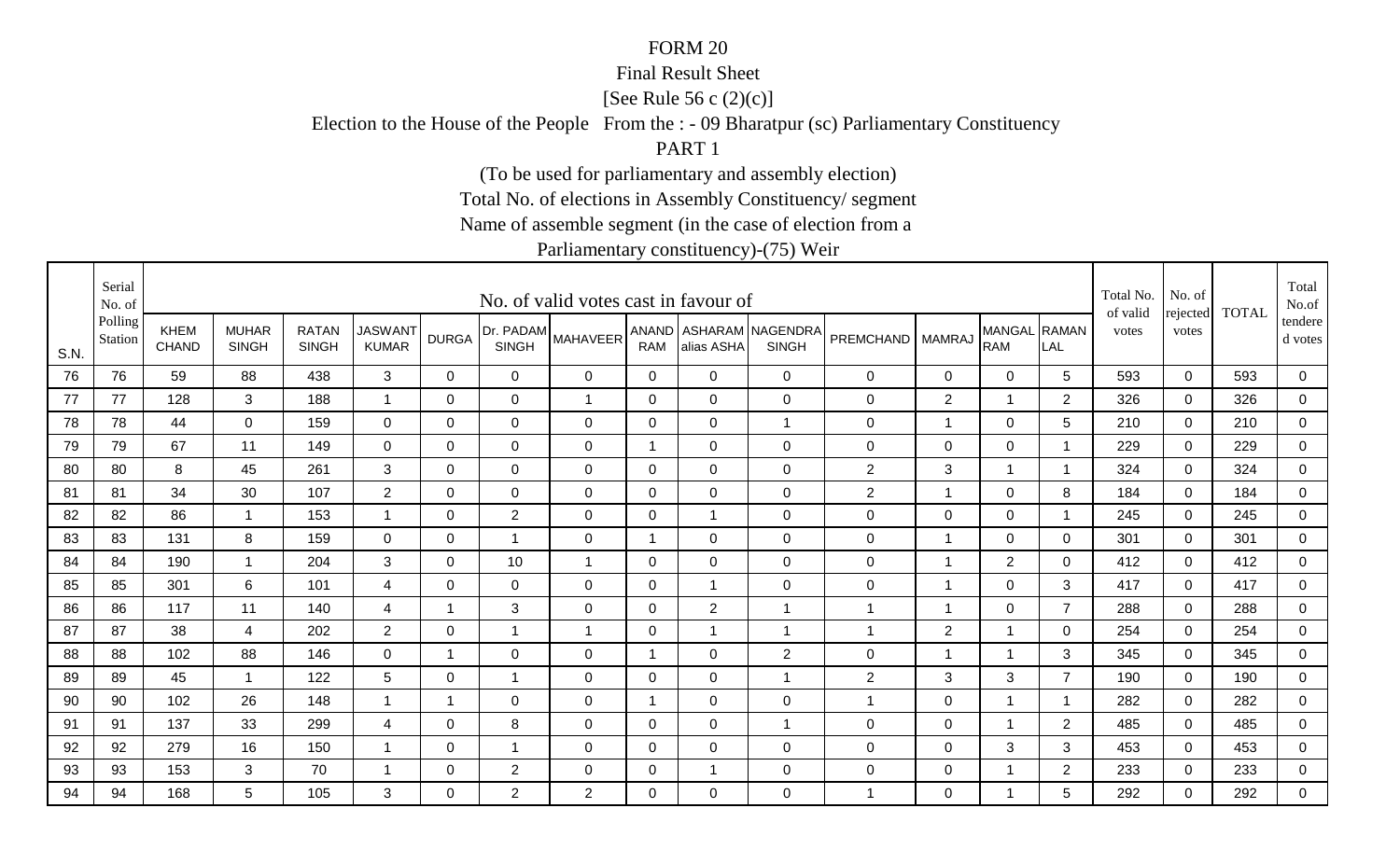#### Final Result Sheet

[See Rule 56 c (2)(c)]

Election to the House of the People From the : - 09 Bharatpur (sc) Parliamentary Constituency

PART 1

(To be used for parliamentary and assembly election)

Total No. of elections in Assembly Constituency/ segment

Name of assemble segment (in the case of election from a

|      | Serial<br>No. of   |                             |                              |                              |                                |                |                           | No. of valid votes cast in favour of |                |                |                                        |                      |                |                            |                | Total No.<br>of valid | No. of            | <b>TOTAL</b> | Total<br>No.of     |
|------|--------------------|-----------------------------|------------------------------|------------------------------|--------------------------------|----------------|---------------------------|--------------------------------------|----------------|----------------|----------------------------------------|----------------------|----------------|----------------------------|----------------|-----------------------|-------------------|--------------|--------------------|
| S.N. | Polling<br>Station | <b>KHEM</b><br><b>CHAND</b> | <b>MUHAR</b><br><b>SINGH</b> | <b>RATAN</b><br><b>SINGH</b> | <b>JASWANT</b><br><b>KUMAR</b> | <b>DURGA</b>   | Dr. PADAM<br><b>SINGH</b> | <b>MAHAVEER</b>                      | <b>RAM</b>     | alias ASHA     | ANAND ASHARAM NAGENDRA<br><b>SINGH</b> | PREMCHAND   MAMRAJ   |                | MANGAL RAMAN<br><b>RAM</b> | LAL            | votes                 | rejected<br>votes |              | tendere<br>d votes |
| 76   | 76                 | 59                          | 88                           | 438                          | $\mathbf{3}$                   | $\mathbf 0$    | $\mathbf 0$               | $\mathbf 0$                          | $\mathbf 0$    | $\mathbf{0}$   | $\overline{0}$                         | $\mathbf 0$          | $\mathbf 0$    | $\overline{0}$             | 5              | 593                   | $\mathbf 0$       | 593          | $\mathbf 0$        |
| 77   | 77                 | 128                         | 3                            | 188                          | $\overline{\mathbf{1}}$        | 0              | 0                         | $\overline{1}$                       | 0              | 0              | $\mathbf 0$                            | 0                    | $\overline{2}$ | $\overline{1}$             | 2              | 326                   | $\mathbf 0$       | 326          | $\mathbf 0$        |
| 78   | 78                 | 44                          | $\mathbf 0$                  | 159                          | $\mathbf{0}$                   | 0              | 0                         | $\mathbf 0$                          | 0              | $\mathbf{0}$   | $\mathbf{1}$                           | 0                    | 1              | $\mathbf 0$                | 5              | 210                   | $\mathbf 0$       | 210          | $\overline{0}$     |
| 79   | 79                 | 67                          | 11                           | 149                          | 0                              | 0              | $\mathbf 0$               | $\mathbf 0$                          | 1              | 0              | $\mathbf 0$                            | 0                    | $\mathbf 0$    | $\mathbf 0$                |                | 229                   | $\mathbf 0$       | 229          | $\mathbf 0$        |
| 80   | 80                 | 8                           | 45                           | 261                          | 3                              | $\Omega$       | 0                         | $\mathbf 0$                          | $\Omega$       | $\Omega$       | $\overline{0}$                         | $\overline{c}$       | 3              | $\overline{1}$             |                | 324                   | $\mathbf{0}$      | 324          | $\mathbf 0$        |
| 81   | 81                 | 34                          | 30                           | 107                          | $\overline{2}$                 | 0              | $\mathbf 0$               | $\mathbf 0$                          | $\mathbf 0$    | $\overline{0}$ | $\mathbf 0$                            | $\overline{2}$       | 1              | $\mathbf 0$                | 8              | 184                   | $\mathbf 0$       | 184          | $\mathbf 0$        |
| 82   | 82                 | 86                          | $\mathbf{1}$                 | 153                          | -1                             | $\mathbf 0$    | $\sqrt{2}$                | $\mathbf 0$                          | $\mathbf 0$    | -1             | $\mathbf 0$                            | 0                    | $\mathsf 0$    | $\mathbf 0$                |                | 245                   | $\mathbf 0$       | 245          | $\mathbf 0$        |
| 83   | 83                 | 131                         | 8                            | 159                          | $\mathbf 0$                    | 0              | $\overline{1}$            | 0                                    | 1              | 0              | $\mathbf 0$                            | 0                    | $\overline{1}$ | $\mathbf 0$                | $\mathbf 0$    | 301                   | 0                 | 301          | $\mathbf 0$        |
| 84   | 84                 | 190                         | $\mathbf 1$                  | 204                          | 3                              | 0              | 10                        | $\mathbf 1$                          | 0              | 0              | $\mathbf 0$                            | 0                    | 1              | $\overline{2}$             | 0              | 412                   | $\mathbf 0$       | 412          | $\mathbf 0$        |
| 85   | 85                 | 301                         | 6                            | 101                          | 4                              | $\Omega$       | 0                         | 0                                    | 0              | -1             | $\overline{0}$                         | 0                    | -1             | $\mathbf 0$                | 3              | 417                   | $\mathbf{0}$      | 417          | $\mathbf 0$        |
| 86   | 86                 | 117                         | 11                           | 140                          | 4                              | $\mathbf 1$    | 3                         | $\mathbf 0$                          | 0              | $\overline{2}$ | $\mathbf{1}$                           | $\overline{1}$       | 1              | $\mathbf 0$                | $\overline{7}$ | 288                   | $\mathbf 0$       | 288          | $\mathbf 0$        |
| 87   | 87                 | 38                          | 4                            | 202                          | $\overline{2}$                 | 0              | 1                         | $\overline{1}$                       | 0              | -1             | $\overline{1}$                         | $\blacktriangleleft$ | $\overline{2}$ | $\overline{1}$             | 0              | 254                   | $\mathbf 0$       | 254          | $\mathbf 0$        |
| 88   | 88                 | 102                         | 88                           | 146                          | $\mathbf 0$                    | 1              | $\mathbf 0$               | 0                                    | 1              | 0              | 2                                      | 0                    | 1              | $\overline{1}$             | 3              | 345                   | 0                 | 345          | $\mathbf 0$        |
| 89   | 89                 | 45                          | $\mathbf 1$                  | 122                          | 5                              | 0              | -1                        | $\mathbf 0$                          | 0              | $\mathbf 0$    | $\mathbf{1}$                           | $\overline{2}$       | 3              | 3                          | $\overline{7}$ | 190                   | $\mathbf 0$       | 190          | $\mathbf 0$        |
| 90   | 90                 | 102                         | 26                           | 148                          | $\overline{1}$                 | $\overline{1}$ | 0                         | 0                                    | $\overline{1}$ | $\Omega$       | $\mathbf 0$                            | $\overline{1}$       | $\mathbf 0$    | $\overline{1}$             |                | 282                   | $\mathbf{0}$      | 282          | $\mathbf 0$        |
| 91   | 91                 | 137                         | 33                           | 299                          | 4                              | 0              | 8                         | $\mathbf 0$                          | 0              | 0              | $\mathbf{1}$                           | 0                    | $\mathbf 0$    | $\mathbf{1}$               | $\overline{2}$ | 485                   | $\mathbf 0$       | 485          | $\mathbf 0$        |
| 92   | 92                 | 279                         | 16                           | 150                          |                                | 0              | 1                         | 0                                    | 0              | 0              | $\mathbf 0$                            | 0                    | $\mathbf 0$    | 3                          | 3              | 453                   | $\mathbf 0$       | 453          | $\mathbf 0$        |
| 93   | 93                 | 153                         | 3                            | 70                           |                                | 0              | $\overline{2}$            | $\mathbf 0$                          | 0              |                | $\mathbf 0$                            | 0                    | $\pmb{0}$      | $\overline{1}$             | $\overline{2}$ | 233                   | $\mathbf 0$       | 233          | $\mathbf 0$        |
| 94   | 94                 | 168                         | 5                            | 105                          | 3                              | $\Omega$       | $\overline{2}$            | 2                                    | $\Omega$       | $\overline{0}$ | $\overline{0}$                         | 1                    | 0              | $\mathbf 1$                | 5              | 292                   | $\Omega$          | 292          | $\mathbf 0$        |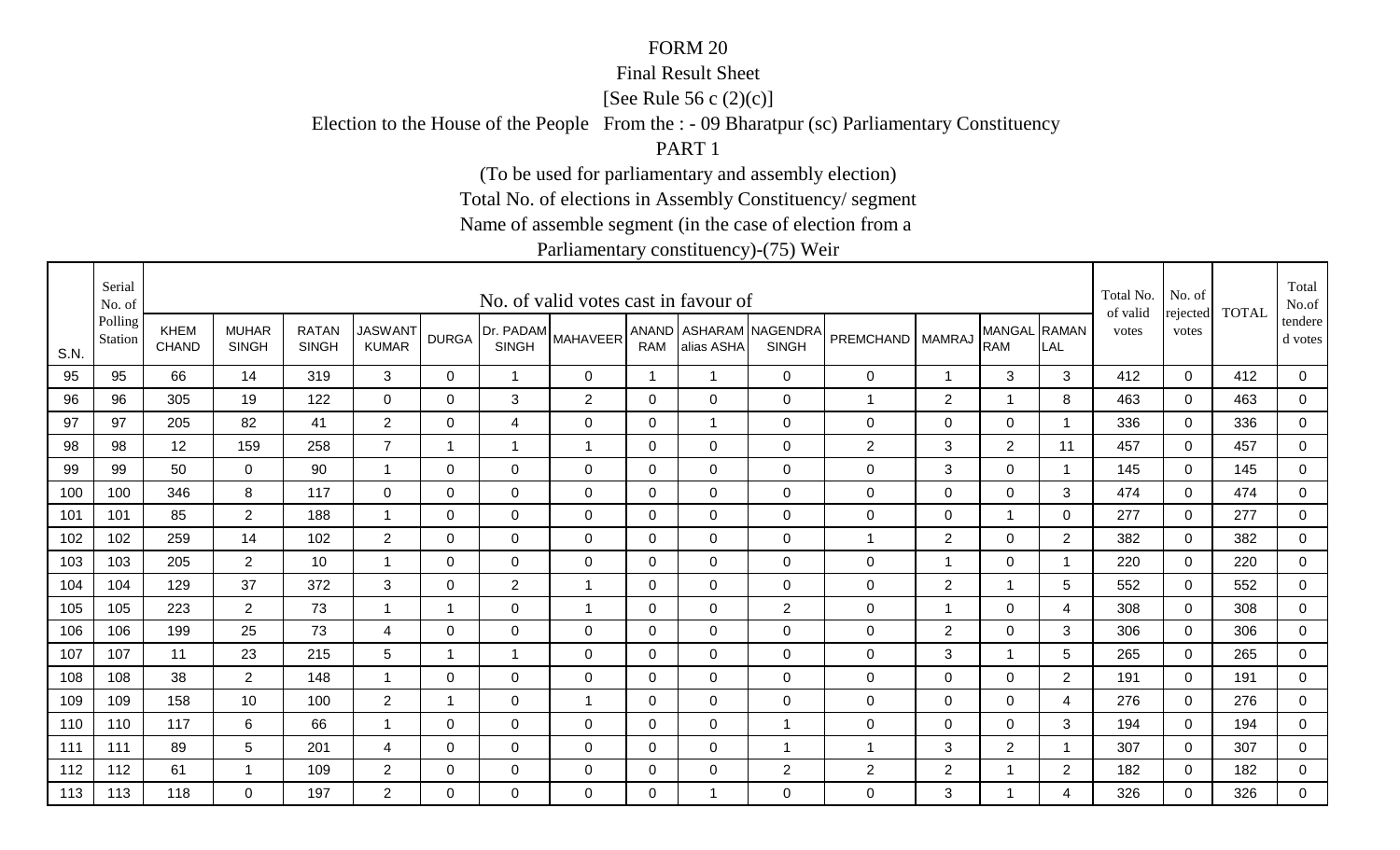#### Final Result Sheet

[See Rule 56 c (2)(c)]

Election to the House of the People From the : - 09 Bharatpur (sc) Parliamentary Constituency

PART 1

(To be used for parliamentary and assembly election)

Total No. of elections in Assembly Constituency/ segment

Name of assemble segment (in the case of election from a

|      | Serial<br>No. of   |                             |                              |                              |                                |              |                           | No. of valid votes cast in favour of |              |                |                                        |                  |                |                            |                | Total No.<br>of valid | No. of            | <b>TOTAL</b> | Total<br>No.of     |
|------|--------------------|-----------------------------|------------------------------|------------------------------|--------------------------------|--------------|---------------------------|--------------------------------------|--------------|----------------|----------------------------------------|------------------|----------------|----------------------------|----------------|-----------------------|-------------------|--------------|--------------------|
| S.N. | Polling<br>Station | <b>KHEM</b><br><b>CHAND</b> | <b>MUHAR</b><br><b>SINGH</b> | <b>RATAN</b><br><b>SINGH</b> | <b>JASWANT</b><br><b>KUMAR</b> | <b>DURGA</b> | Dr. PADAM<br><b>SINGH</b> | <b>MAHAVEER</b>                      | <b>RAM</b>   | alias ASHA     | ANAND ASHARAM NAGENDRA<br><b>SINGH</b> | <b>PREMCHAND</b> | <b>MAMRAJ</b>  | MANGAL RAMAN<br><b>RAM</b> | LAL            | votes                 | rejected<br>votes |              | tendere<br>d votes |
| 95   | 95                 | 66                          | 14                           | 319                          | $\mathbf{3}$                   | 0            | $\overline{1}$            | 0                                    | $\mathbf 1$  | $\overline{1}$ | $\mathbf 0$                            | $\mathbf 0$      | $\overline{1}$ | $\mathbf{3}$               | 3              | 412                   | $\mathbf 0$       | 412          | $\mathbf 0$        |
| 96   | 96                 | 305                         | 19                           | 122                          | $\overline{0}$                 | $\Omega$     | $\mathbf{3}$              | $\overline{2}$                       | $\Omega$     | $\Omega$       | $\mathbf 0$                            | 1                | $\overline{2}$ |                            | 8              | 463                   | $\mathbf 0$       | 463          | $\mathsf 0$        |
| 97   | 97                 | 205                         | 82                           | 41                           | $\overline{2}$                 | 0            | 4                         | $\mathbf 0$                          | 0            |                | $\mathbf 0$                            | $\mathbf 0$      | $\mathbf 0$    | $\mathbf 0$                | -1             | 336                   | 0                 | 336          | $\mathbf 0$        |
| 98   | 98                 | 12                          | 159                          | 258                          | $\overline{7}$                 | 1            | 1                         | $\mathbf 1$                          | 0            | $\Omega$       | $\mathbf 0$                            | $\overline{2}$   | 3              | $\overline{2}$             | 11             | 457                   | $\Omega$          | 457          | $\mathbf 0$        |
| 99   | 99                 | 50                          | $\mathbf 0$                  | 90                           | $\overline{\mathbf{1}}$        | $\Omega$     | $\mathbf 0$               | $\mathbf 0$                          | $\mathbf 0$  | $\Omega$       | $\mathbf 0$                            | $\mathbf 0$      | 3              | $\mathbf 0$                | -1             | 145                   | $\Omega$          | 145          | $\mathbf 0$        |
| 100  | 100                | 346                         | 8                            | 117                          | $\mathbf 0$                    | $\Omega$     | $\mathbf 0$               | $\mathbf 0$                          | $\mathbf 0$  | $\overline{0}$ | $\mathbf 0$                            | $\boldsymbol{0}$ | $\mathbf 0$    | $\overline{0}$             | 3              | 474                   | $\mathbf 0$       | 474          | $\overline{0}$     |
| 101  | 101                | 85                          | $\overline{2}$               | 188                          | -1                             | $\mathbf 0$  | $\mathbf 0$               | $\mathbf 0$                          | $\mathbf{0}$ | $\mathbf 0$    | $\mathbf 0$                            | $\mathbf 0$      | $\mathbf 0$    | $\mathbf 1$                | $\mathbf{0}$   | 277                   | $\Omega$          | 277          | $\mathbf 0$        |
| 102  | 102                | 259                         | 14                           | 102                          | $\overline{2}$                 | 0            | $\mathbf 0$               | 0                                    | 0            | 0              | $\mathbf 0$                            | $\mathbf{1}$     | $\overline{2}$ | 0                          | 2              | 382                   | 0                 | 382          | $\mathbf 0$        |
| 103  | 103                | 205                         | $\overline{2}$               | 10                           | -1                             | $\Omega$     | 0                         | 0                                    | 0            | $\Omega$       | $\mathbf 0$                            | $\mathbf 0$      | $\mathbf 1$    | $\mathbf 0$                | -1             | 220                   | $\Omega$          | 220          | 0                  |
| 104  | 104                | 129                         | 37                           | 372                          | 3                              | $\Omega$     | $\overline{2}$            | $\overline{1}$                       | 0            | $\Omega$       | $\mathbf 0$                            | 0                | $\overline{2}$ |                            | 5              | 552                   | $\Omega$          | 552          | 0                  |
| 105  | 105                | 223                         | $\overline{2}$               | 73                           |                                | 1            | 0                         | $\overline{1}$                       | $\Omega$     | $\Omega$       | $\overline{2}$                         | $\mathbf 0$      | $\overline{1}$ | $\mathbf 0$                | 4              | 308                   | $\Omega$          | 308          | $\mathbf 0$        |
| 106  | 106                | 199                         | 25                           | 73                           | 4                              | 0            | $\mathbf 0$               | $\mathbf 0$                          | 0            | 0              | $\mathbf 0$                            | 0                | $\overline{2}$ | $\mathbf 0$                | 3              | 306                   | $\Omega$          | 306          | 0                  |
| 107  | 107                | 11                          | 23                           | 215                          | $5\phantom{.0}$                | 1            | 1                         | 0                                    | 0            | 0              | $\mathbf 0$                            | $\mathbf 0$      | 3              |                            | 5              | 265                   | 0                 | 265          | $\mathbf 0$        |
| 108  | 108                | 38                          | $\overline{2}$               | 148                          | -1                             | 0            | 0                         | 0                                    | 0            | 0              | $\mathbf 0$                            | $\mathbf 0$      | 0              | $\mathbf 0$                | $\overline{2}$ | 191                   | $\Omega$          | 191          | $\mathbf 0$        |
| 109  | 109                | 158                         | 10                           | 100                          | $\overline{2}$                 | 1            | $\mathbf 0$               | $\overline{1}$                       | 0            | 0              | $\mathbf 0$                            | $\mathbf 0$      | $\mathbf 0$    | $\mathbf 0$                | 4              | 276                   | $\Omega$          | 276          | $\mathbf 0$        |
| 110  | 110                | 117                         | 6                            | 66                           | -1                             | 0            | $\mathbf 0$               | $\mathbf 0$                          | 0            | 0              | $\mathbf{1}$                           | $\mathbf 0$      | $\mathbf 0$    | $\mathbf 0$                | 3              | 194                   | 0                 | 194          | 0                  |
| 111  | 111                | 89                          | $\sqrt{5}$                   | 201                          | 4                              | $\Omega$     | $\mathbf 0$               | $\mathbf 0$                          | 0            | 0              | $\overline{1}$                         | $\mathbf 1$      | 3              | $\overline{2}$             | -1             | 307                   | $\mathbf{0}$      | 307          | 0                  |
| 112  | 112                | 61                          | 1                            | 109                          | $\overline{2}$                 | 0            | $\mathbf 0$               | $\mathbf 0$                          | 0            | 0              | $\overline{2}$                         | $\mathbf{2}$     | $\overline{2}$ |                            | $\overline{2}$ | 182                   | $\mathbf{0}$      | 182          | $\overline{0}$     |
| 113  | 113                | 118                         | $\Omega$                     | 197                          | $\overline{2}$                 | $\Omega$     | $\Omega$                  | $\Omega$                             | $\Omega$     |                | $\mathbf 0$                            | 0                | 3              |                            | 4              | 326                   | $\Omega$          | 326          | 0                  |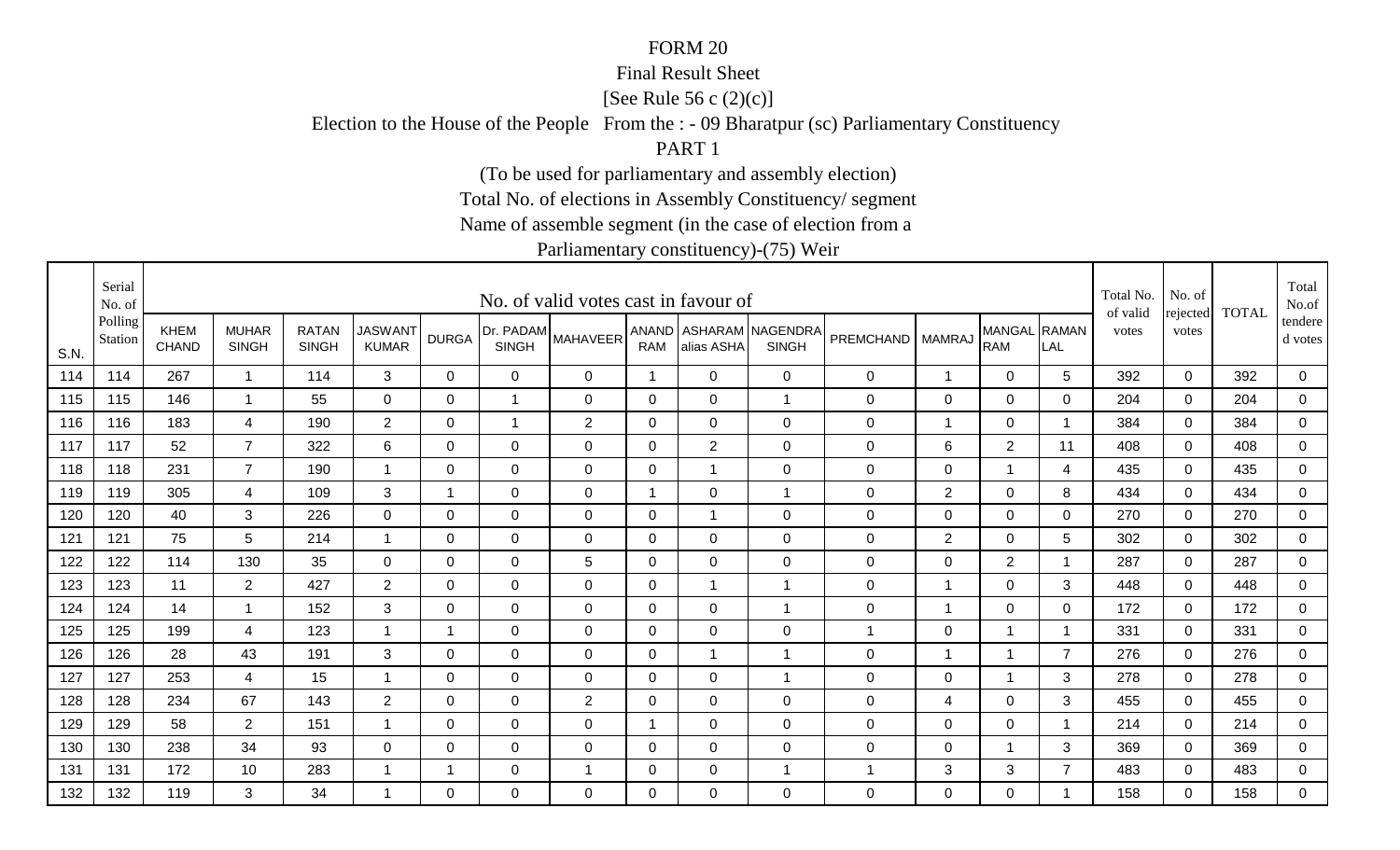#### Final Result Sheet

[See Rule 56 c (2)(c)]

Election to the House of the People From the : - 09 Bharatpur (sc) Parliamentary Constituency

PART 1

(To be used for parliamentary and assembly election)

Total No. of elections in Assembly Constituency/ segment

Name of assemble segment (in the case of election from a

|      | Serial<br>No. of   |                             |                              |                              |                                |              |                | No. of valid votes cast in favour of |                |                |                                        |                  |                |                            |                | Total No.<br>of valid | No. of            | <b>TOTAL</b> | Total<br>No.of     |
|------|--------------------|-----------------------------|------------------------------|------------------------------|--------------------------------|--------------|----------------|--------------------------------------|----------------|----------------|----------------------------------------|------------------|----------------|----------------------------|----------------|-----------------------|-------------------|--------------|--------------------|
| S.N. | Polling<br>Station | <b>KHEM</b><br><b>CHAND</b> | <b>MUHAR</b><br><b>SINGH</b> | <b>RATAN</b><br><b>SINGH</b> | <b>JASWANT</b><br><b>KUMAR</b> | <b>DURGA</b> | <b>SINGH</b>   | [Dr. PADAM MAHAVEER <sup>1</sup>     | <b>RAM</b>     | alias ASHA     | ANAND ASHARAM NAGENDRA<br><b>SINGH</b> | <b>PREMCHAND</b> | <b>MAMRAJ</b>  | MANGAL RAMAN<br><b>RAM</b> | LAL            | votes                 | rejected<br>votes |              | tendere<br>d votes |
| 114  | 114                | 267                         | $\mathbf{1}$                 | 114                          | 3                              | $\Omega$     | $\mathbf 0$    | 0                                    | $\overline{1}$ | $\mathbf 0$    | $\mathbf 0$                            | 0                | 1              | $\mathbf 0$                | 5              | 392                   | $\mathbf 0$       | 392          | 0                  |
| 115  | 115                | 146                         | $\mathbf{1}$                 | 55                           | $\mathbf 0$                    | $\Omega$     | $\overline{1}$ | $\mathbf 0$                          | $\mathbf 0$    | $\mathbf 0$    | $\overline{1}$                         | 0                | $\pmb{0}$      | $\mathbf 0$                | $\mathbf{0}$   | 204                   | $\mathbf 0$       | 204          | $\mathsf 0$        |
| 116  | 116                | 183                         | 4                            | 190                          | $\overline{2}$                 | 0            | $\overline{1}$ | $\overline{2}$                       | 0              | $\mathbf 0$    | $\mathbf 0$                            | 0                | 1              | $\mathbf 0$                | -1             | 384                   | 0                 | 384          | $\mathbf 0$        |
| 117  | 117                | 52                          | $\overline{7}$               | 322                          | 6                              | $\Omega$     | $\Omega$       | $\Omega$                             | 0              | $\overline{2}$ | $\overline{0}$                         | 0                | $\,6\,$        | $\overline{2}$             | 11             | 408                   | $\Omega$          | 408          | $\mathbf 0$        |
| 118  | 118                | 231                         | $\overline{7}$               | 190                          | $\overline{1}$                 | $\mathbf 0$  | $\overline{0}$ | $\mathbf 0$                          | $\overline{0}$ | -1             | $\overline{0}$                         | 0                | $\mathbf 0$    | $\overline{1}$             | 4              | 435                   | $\Omega$          | 435          | $\mathbf 0$        |
| 119  | 119                | 305                         | $\overline{4}$               | 109                          | 3                              | $\mathbf 1$  | 0              | $\mathbf 0$                          | $\mathbf 1$    | $\mathbf 0$    | $\mathbf{1}$                           | 0                | $\overline{2}$ | $\mathbf 0$                | 8              | 434                   | $\mathbf 0$       | 434          | $\overline{0}$     |
| 120  | 120                | 40                          | 3                            | 226                          | $\mathbf 0$                    | $\Omega$     | $\mathbf 0$    | $\mathbf 0$                          | $\mathbf 0$    | -1             | $\overline{0}$                         | 0                | $\mathbf 0$    | $\mathbf 0$                | $\mathbf{0}$   | 270                   | $\mathbf 0$       | 270          | $\mathbf 0$        |
| 121  | 121                | 75                          | 5                            | 214                          | -1                             | 0            | $\mathbf 0$    | 0                                    | 0              | 0              | $\mathbf 0$                            | 0                | $\overline{2}$ | $\mathbf 0$                | 5              | 302                   | 0                 | 302          | $\mathbf 0$        |
| 122  | 122                | 114                         | 130                          | 35                           | 0                              | 0            | 0              | 5                                    | 0              | 0              | $\mathbf 0$                            | 0                | 0              | $\overline{2}$             |                | 287                   | $\Omega$          | 287          | 0                  |
| 123  | 123                | 11                          | $\overline{2}$               | 427                          | $\overline{2}$                 | $\Omega$     | 0              | 0                                    | 0              | -1             | $\overline{1}$                         | 0                | 1              | $\mathbf 0$                | 3              | 448                   | $\Omega$          | 448          | 0                  |
| 124  | 124                | 14                          | $\overline{1}$               | 152                          | 3                              | 0            | 0              | $\mathbf 0$                          | 0              | $\Omega$       | $\overline{1}$                         | 0                | 1              | $\mathbf 0$                | 0              | 172                   | $\Omega$          | 172          | $\mathbf 0$        |
| 125  | 125                | 199                         | 4                            | 123                          | -1                             | -1           | $\mathbf 0$    | $\mathbf 0$                          | 0              | 0              | $\overline{0}$                         | $\overline{1}$   | 0              |                            | -1             | 331                   | $\Omega$          | 331          | 0                  |
| 126  | 126                | 28                          | 43                           | 191                          | 3                              | 0            | 0              | 0                                    | 0              | -1             | $\mathbf{1}$                           | 0                | 1              |                            | $\overline{7}$ | 276                   | 0                 | 276          | $\mathbf 0$        |
| 127  | 127                | 253                         | 4                            | 15                           | -1                             | 0            | $\mathbf 0$    | 0                                    | 0              | 0              | $\mathbf{1}$                           | 0                | $\mathbf 0$    | 1                          | 3              | 278                   | $\Omega$          | 278          | $\mathbf 0$        |
| 128  | 128                | 234                         | 67                           | 143                          | $\overline{2}$                 | 0            | 0              | 2                                    | 0              | 0              | $\mathbf 0$                            | 0                | 4              | $\mathbf 0$                | 3              | 455                   | $\Omega$          | 455          | $\mathbf 0$        |
| 129  | 129                | 58                          | $\overline{2}$               | 151                          | -1                             | 0            | $\mathbf 0$    | $\mathbf 0$                          | 1              | $\mathbf 0$    | $\mathbf 0$                            | 0                | $\mathbf 0$    | $\mathbf 0$                |                | 214                   | 0                 | 214          | 0                  |
| 130  | 130                | 238                         | 34                           | 93                           | 0                              | 0            | $\mathbf 0$    | $\mathbf 0$                          | 0              | 0              | $\overline{0}$                         | 0                | $\mathbf 0$    | 1                          | 3              | 369                   | $\Omega$          | 369          | 0                  |
| 131  | 131                | 172                         | 10                           | 283                          | -1                             | 1            | $\mathbf 0$    | -1                                   | 0              | 0              | $\mathbf{1}$                           | 1                | $\sqrt{3}$     | $\mathbf{3}$               | $\overline{7}$ | 483                   | 0                 | 483          | $\mathbf 0$        |
| 132  | 132                | 119                         | 3                            | 34                           | -1                             | $\Omega$     | $\Omega$       | $\Omega$                             | $\Omega$       | $\Omega$       | $\overline{0}$                         | 0                | $\mathbf{0}$   | $\overline{0}$             |                | 158                   | $\Omega$          | 158          | $\Omega$           |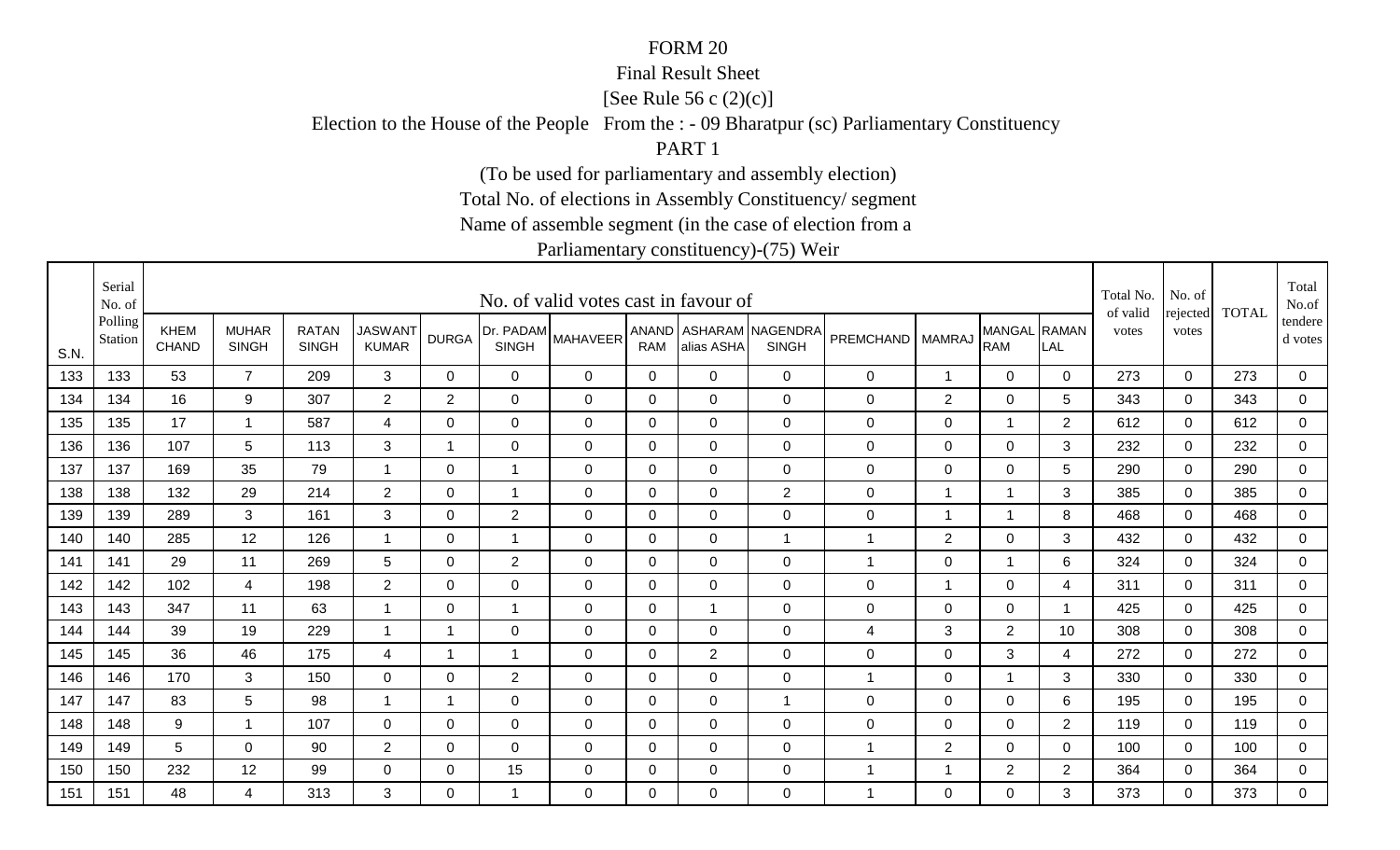### Final Result Sheet

[See Rule 56 c (2)(c)]

Election to the House of the People From the : - 09 Bharatpur (sc) Parliamentary Constituency

PART 1

(To be used for parliamentary and assembly election)

Total No. of elections in Assembly Constituency/ segment

Name of assemble segment (in the case of election from a

|      | Serial<br>No. of   |                             |                              |                              |                                |                |                           | No. of valid votes cast in favour of |              |                |                                        |                  |                |                            |                | Total No.<br>of valid | No. of            | <b>TOTAL</b> | Total<br>No.of     |
|------|--------------------|-----------------------------|------------------------------|------------------------------|--------------------------------|----------------|---------------------------|--------------------------------------|--------------|----------------|----------------------------------------|------------------|----------------|----------------------------|----------------|-----------------------|-------------------|--------------|--------------------|
| S.N. | Polling<br>Station | <b>KHEM</b><br><b>CHAND</b> | <b>MUHAR</b><br><b>SINGH</b> | <b>RATAN</b><br><b>SINGH</b> | <b>JASWANT</b><br><b>KUMAR</b> | <b>DURGA</b>   | Dr. PADAM<br><b>SINGH</b> | <b>MAHAVEER</b>                      | <b>RAM</b>   | alias ASHA     | ANAND ASHARAM NAGENDRA<br><b>SINGH</b> | PREMCHAND        | <b>MAMRAJ</b>  | MANGAL RAMAN<br><b>RAM</b> | LAL            | votes                 | rejected<br>votes |              | tendere<br>d votes |
| 133  | 133                | 53                          | $\overline{7}$               | 209                          | 3                              | $\mathbf{0}$   | 0                         | $\overline{0}$                       | 0            | $\Omega$       | $\mathbf 0$                            | $\mathbf 0$      | $\mathbf{1}$   | $\overline{0}$             | $\overline{0}$ | 273                   | $\mathbf 0$       | 273          | $\mathbf 0$        |
| 134  | 134                | 16                          | 9                            | 307                          | $\overline{2}$                 | $\overline{2}$ | $\mathbf 0$               | $\overline{0}$                       | $\mathbf 0$  | $\mathbf 0$    | $\mathbf 0$                            | $\mathsf 0$      | $\overline{2}$ | $\mathbf 0$                | 5              | 343                   | $\mathbf 0$       | 343          | $\mathsf 0$        |
| 135  | 135                | 17                          | $\mathbf 1$                  | 587                          | 4                              | 0              | $\mathbf 0$               | $\mathbf 0$                          | 0            | 0              | $\mathbf 0$                            | 0                | $\mathbf 0$    | $\mathbf 1$                | $\overline{2}$ | 612                   | 0                 | 612          | $\mathbf 0$        |
| 136  | 136                | 107                         | 5                            | 113                          | 3                              | -1             | 0                         | 0                                    | 0            | $\Omega$       | $\mathbf 0$                            | $\mathbf 0$      | 0              | $\mathbf 0$                | 3              | 232                   | $\Omega$          | 232          | 0                  |
| 137  | 137                | 169                         | 35                           | 79                           |                                | $\Omega$       | $\overline{1}$            | $\Omega$                             | $\mathbf{0}$ | $\Omega$       | $\mathbf 0$                            | 0                | 0              | $\mathbf 0$                | 5              | 290                   | $\Omega$          | 290          | 0                  |
| 138  | 138                | 132                         | 29                           | 214                          | $\overline{2}$                 | 0              | $\mathbf{1}$              | $\mathbf 0$                          | 0            | 0              | 2                                      | 0                | $\mathbf 1$    | $\mathbf{1}$               | 3              | 385                   | $\Omega$          | 385          | 0                  |
| 139  | 139                | 289                         | 3                            | 161                          | 3                              | $\Omega$       | $\overline{2}$            | $\mathbf 0$                          | 0            | 0              | $\mathbf 0$                            | $\mathbf 0$      | $\overline{1}$ |                            | 8              | 468                   | $\Omega$          | 468          | $\mathbf 0$        |
| 140  | 140                | 285                         | 12                           | 126                          | $\overline{\mathbf{1}}$        | 0              | -1                        | 0                                    | $\mathbf 0$  | $\mathbf 0$    | $\mathbf{1}$                           | 1                | $\overline{2}$ | $\mathbf 0$                | 3              | 432                   | 0                 | 432          | $\mathbf 0$        |
| 141  | 141                | 29                          | 11                           | 269                          | $5\phantom{.0}$                | 0              | $\overline{2}$            | 0                                    | $\mathbf 0$  | 0              | $\mathbf 0$                            | 1                | 0              |                            | 6              | 324                   | $\Omega$          | 324          | $\mathbf 0$        |
| 142  | 142                | 102                         | $\overline{4}$               | 198                          | $\overline{2}$                 | $\Omega$       | $\mathbf 0$               | $\mathbf 0$                          | $\mathbf{0}$ | $\Omega$       | $\mathbf 0$                            | $\mathbf 0$      | $\mathbf 1$    | $\mathbf 0$                | 4              | 311                   | $\Omega$          | 311          | $\mathbf 0$        |
| 143  | 143                | 347                         | 11                           | 63                           | $\overline{1}$                 | 0              | $\overline{1}$            | $\mathbf 0$                          | 0            |                | $\mathbf 0$                            | $\mathbf 0$      | $\mathbf 0$    | $\mathbf 0$                |                | 425                   | 0                 | 425          | $\mathbf 0$        |
| 144  | 144                | 39                          | 19                           | 229                          |                                | -1             | $\mathbf 0$               | $\mathbf 0$                          | $\Omega$     | $\Omega$       | $\mathbf 0$                            | 4                | 3              | $\overline{2}$             | 10             | 308                   | $\Omega$          | 308          | $\mathbf 0$        |
| 145  | 145                | 36                          | 46                           | 175                          | 4                              | 1              | 1                         | $\mathbf 0$                          | 0            | $\overline{2}$ | $\mathbf 0$                            | $\boldsymbol{0}$ | $\mathbf 0$    | 3                          | 4              | 272                   | $\Omega$          | 272          | $\overline{0}$     |
| 146  | 146                | 170                         | 3                            | 150                          | 0                              | $\Omega$       | $\overline{2}$            | $\Omega$                             | $\mathbf{0}$ | $\Omega$       | $\mathbf 0$                            | $\mathbf 1$      | $\Omega$       |                            | 3              | 330                   | $\Omega$          | 330          | 0                  |
| 147  | 147                | 83                          | 5                            | 98                           | $\overline{1}$                 | $\mathbf 1$    | 0                         | $\mathbf 0$                          | $\Omega$     | $\Omega$       | $\overline{1}$                         | $\mathbf 0$      | 0              | $\mathbf 0$                | 6              | 195                   | $\Omega$          | 195          | $\mathbf 0$        |
| 148  | 148                | 9                           | -1                           | 107                          | $\mathbf 0$                    | 0              | $\mathbf 0$               | $\mathbf 0$                          | 0            | 0              | $\mathbf 0$                            | $\mathbf 0$      | $\mathbf 0$    | $\mathbf 0$                | 2              | 119                   | 0                 | 119          | 0                  |
| 149  | 149                | 5                           | 0                            | 90                           | $\overline{2}$                 | $\Omega$       | $\mathbf 0$               | $\mathbf 0$                          | 0            | $\Omega$       | $\mathbf 0$                            | 1                | $\overline{2}$ | $\mathbf 0$                | 0              | 100                   | $\Omega$          | 100          | 0                  |
| 150  | 150                | 232                         | 12                           | 99                           | $\mathbf 0$                    | 0              | 15                        | 0                                    | 0            | $\Omega$       | $\mathbf 0$                            | 1                | -1             | $\overline{2}$             | $\overline{c}$ | 364                   | 0                 | 364          | $\overline{0}$     |
| 151  | 151                | 48                          | 4                            | 313                          | 3                              | $\Omega$       | -1                        | $\Omega$                             | $\Omega$     | $\Omega$       | $\Omega$                               | 1                | $\Omega$       | $\overline{0}$             | 3              | 373                   | $\Omega$          | 373          | $\Omega$           |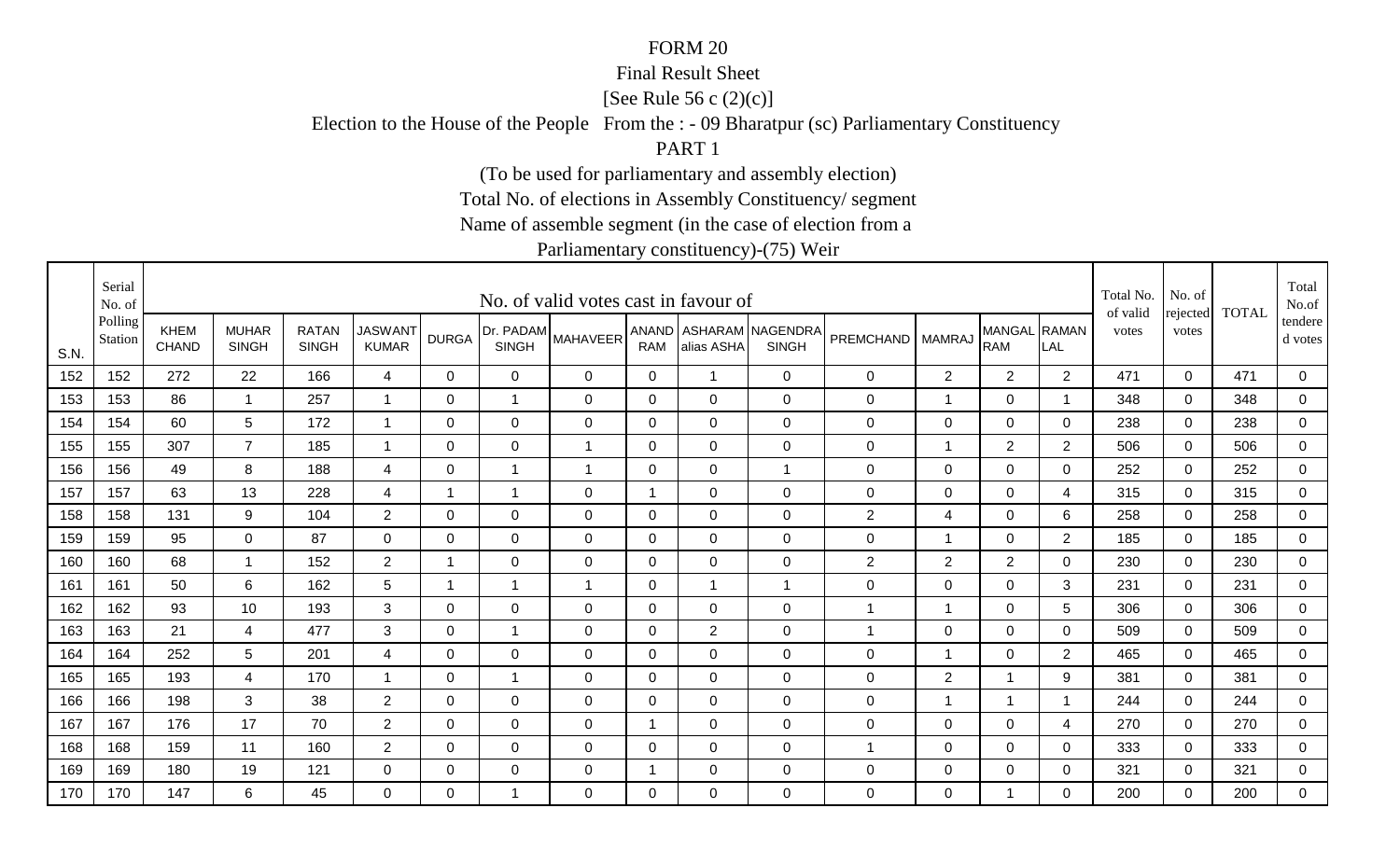#### Final Result Sheet

[See Rule 56 c (2)(c)]

Election to the House of the People From the : - 09 Bharatpur (sc) Parliamentary Constituency

PART 1

(To be used for parliamentary and assembly election)

Total No. of elections in Assembly Constituency/ segment

Name of assemble segment (in the case of election from a

|      | Serial<br>No. of   |                             |                              |                              |                                |                |                           | No. of valid votes cast in favour of |                |                |                                        |                    |                          |                             |                     | Total No.<br>of valid | No. of            | <b>TOTAL</b> | Total<br>No.of     |
|------|--------------------|-----------------------------|------------------------------|------------------------------|--------------------------------|----------------|---------------------------|--------------------------------------|----------------|----------------|----------------------------------------|--------------------|--------------------------|-----------------------------|---------------------|-----------------------|-------------------|--------------|--------------------|
| S.N. | Polling<br>Station | <b>KHEM</b><br><b>CHAND</b> | <b>MUHAR</b><br><b>SINGH</b> | <b>RATAN</b><br><b>SINGH</b> | <b>JASWANT</b><br><b>KUMAR</b> | <b>DURGA</b>   | Dr. PADAM<br><b>SINGH</b> | <b>MAHAVEER</b>                      | <b>RAM</b>     | alias ASHA     | ANAND ASHARAM NAGENDRA<br><b>SINGH</b> | PREMCHAND   MAMRAJ |                          | <b>MANGAL</b><br><b>RAM</b> | <b>RAMAN</b><br>LAL | votes                 | rejected<br>votes |              | tendere<br>d votes |
| 152  | 152                | 272                         | 22                           | 166                          | $\overline{4}$                 | $\Omega$       | 0                         | 0                                    | 0              | $\overline{1}$ | $\mathbf 0$                            | 0                  | $\overline{2}$           | $\overline{2}$              | 2                   | 471                   | $\mathbf 0$       | 471          | $\mathbf 0$        |
| 153  | 153                | 86                          | $\mathbf 1$                  | 257                          | -1                             | 0              | $\overline{1}$            | $\mathbf 0$                          | 0              | 0              | $\mathbf 0$                            | 0                  | 1                        | $\mathbf 0$                 |                     | 348                   | $\mathbf 0$       | 348          | $\mathbf 0$        |
| 154  | 154                | 60                          | 5                            | 172                          | -1                             | 0              | $\mathbf 0$               | 0                                    | 0              | 0              | $\mathbf 0$                            | 0                  | $\pmb{0}$                | $\mathbf 0$                 | $\mathbf 0$         | 238                   | $\mathbf 0$       | 238          | $\mathbf 0$        |
| 155  | 155                | 307                         | $\overline{7}$               | 185                          | -1                             | $\Omega$       | 0                         | $\mathbf 1$                          | 0              | $\Omega$       | $\mathbf 0$                            | 0                  | $\overline{1}$           | $\overline{2}$              | 2                   | 506                   | $\mathbf 0$       | 506          | $\mathbf 0$        |
| 156  | 156                | 49                          | 8                            | 188                          | 4                              | $\Omega$       | $\overline{1}$            | $\mathbf{1}$                         | $\Omega$       | $\overline{0}$ | $\mathbf{1}$                           | 0                  | $\mathbf 0$              | $\mathbf 0$                 | $\Omega$            | 252                   | $\mathbf{0}$      | 252          | $\mathbf 0$        |
| 157  | 157                | 63                          | 13                           | 228                          | $\overline{4}$                 | $\overline{1}$ | $\overline{1}$            | $\mathbf 0$                          | $\overline{1}$ | $\overline{0}$ | $\overline{0}$                         | 0                  | $\mathsf 0$              | $\mathbf 0$                 | $\overline{4}$      | 315                   | $\mathbf 0$       | 315          | $\mathbf 0$        |
| 158  | 158                | 131                         | 9                            | 104                          | $\overline{2}$                 | $\Omega$       | $\mathbf 0$               | $\mathbf 0$                          | 0              | $\overline{0}$ | $\overline{0}$                         | $\overline{c}$     | 4                        | $\mathbf 0$                 | 6                   | 258                   | $\mathbf{0}$      | 258          | $\mathbf 0$        |
| 159  | 159                | 95                          | $\overline{0}$               | 87                           | $\overline{0}$                 | 0              | $\mathbf 0$               | $\mathbf 0$                          | 0              | $\mathbf 0$    | $\mathbf 0$                            | 0                  | $\overline{1}$           | $\mathbf 0$                 | $\overline{2}$      | 185                   | $\mathbf 0$       | 185          | $\overline{0}$     |
| 160  | 160                | 68                          | -1                           | 152                          | $\overline{2}$                 | -1             | 0                         | 0                                    | 0              | 0              | $\overline{0}$                         | $\overline{2}$     | $\overline{2}$           | 2                           | 0                   | 230                   | $\mathbf 0$       | 230          | $\mathbf 0$        |
| 161  | 161                | 50                          | 6                            | 162                          | 5                              | $\overline{1}$ | $\mathbf 1$               | $\overline{1}$                       | $\mathbf 0$    | -1             | $\mathbf{1}$                           | 0                  | $\mathsf 0$              | $\mathbf 0$                 | 3                   | 231                   | $\mathbf 0$       | 231          | $\mathsf 0$        |
| 162  | 162                | 93                          | 10                           | 193                          | $\mathbf{3}$                   | 0              | $\pmb{0}$                 | $\mathbf 0$                          | $\mathbf 0$    | $\mathbf 0$    | $\mathbf 0$                            | $\mathbf{1}$       | $\overline{\phantom{a}}$ | $\mathbf 0$                 | 5                   | 306                   | $\mathbf 0$       | 306          | $\overline{0}$     |
| 163  | 163                | 21                          | 4                            | 477                          | 3                              | $\Omega$       | $\overline{1}$            | 0                                    | 0              | $\overline{2}$ | $\mathbf 0$                            | -1                 | $\mathbf 0$              | $\mathbf 0$                 | $\mathbf 0$         | 509                   | $\mathbf 0$       | 509          | $\mathbf 0$        |
| 164  | 164                | 252                         | 5                            | 201                          | 4                              | 0              | 0                         | 0                                    | 0              | 0              | $\mathbf 0$                            | 0                  | -1                       | $\mathbf 0$                 | $\overline{2}$      | 465                   | $\mathbf 0$       | 465          | $\overline{0}$     |
| 165  | 165                | 193                         | 4                            | 170                          | -1                             | $\Omega$       | $\overline{1}$            | 0                                    | $\Omega$       | $\Omega$       | $\overline{0}$                         | 0                  | $\overline{2}$           | $\overline{1}$              | 9                   | 381                   | $\mathbf{0}$      | 381          | $\mathbf 0$        |
| 166  | 166                | 198                         | 3                            | 38                           | $\overline{2}$                 | $\mathbf 0$    | $\mathbf 0$               | $\mathbf 0$                          | $\mathbf 0$    | $\mathbf 0$    | $\mathbf 0$                            | 0                  | $\overline{1}$           | $\overline{1}$              |                     | 244                   | $\mathbf 0$       | 244          | $\mathbf 0$        |
| 167  | 167                | 176                         | 17                           | 70                           | $\overline{2}$                 | 0              | $\mathbf 0$               | $\mathbf 0$                          | $\mathbf 1$    | 0              | $\mathbf 0$                            | 0                  | $\mathsf 0$              | $\mathbf 0$                 | $\overline{4}$      | 270                   | $\mathbf 0$       | 270          | $\mathbf 0$        |
| 168  | 168                | 159                         | 11                           | 160                          | $\overline{2}$                 | 0              | $\mathbf 0$               | 0                                    | 0              | 0              | $\mathbf 0$                            | 1                  | $\mathbf 0$              | $\mathbf 0$                 | $\mathbf 0$         | 333                   | $\mathbf 0$       | 333          | $\mathbf 0$        |
| 169  | 169                | 180                         | 19                           | 121                          | $\mathbf 0$                    | 0              | $\mathbf 0$               | 0                                    |                | 0              | $\mathbf 0$                            | 0                  | $\mathbf 0$              | $\mathbf 0$                 | 0                   | 321                   | $\mathbf 0$       | 321          | $\mathbf 0$        |
| 170  | 170                | 147                         | 6                            | 45                           | $\Omega$                       | $\Omega$       | 1                         | $\Omega$                             | $\Omega$       | $\Omega$       | $\mathbf 0$                            | 0                  | $\Omega$                 | $\overline{1}$              | $\Omega$            | 200                   | $\Omega$          | 200          | $\mathbf 0$        |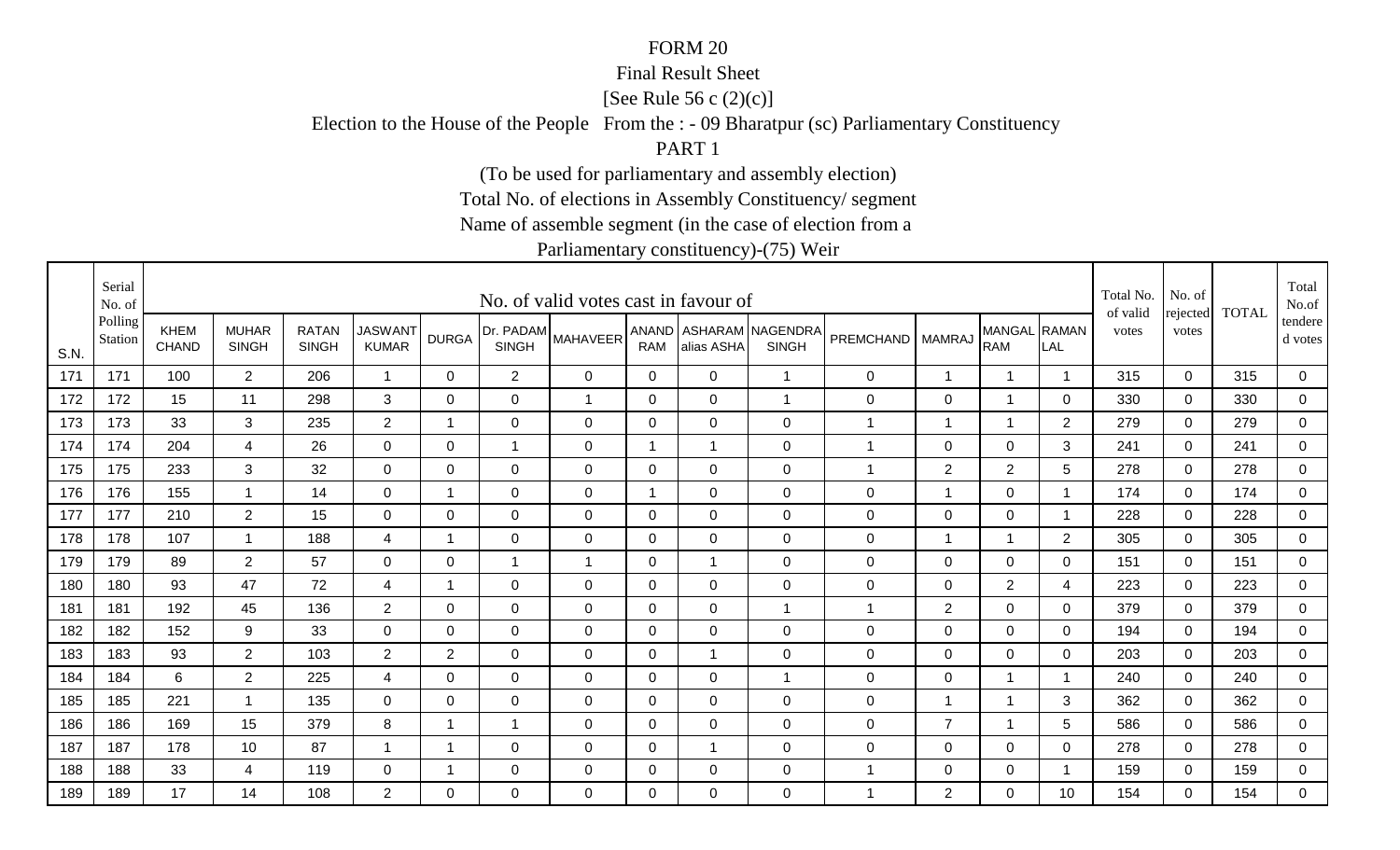#### Final Result Sheet

[See Rule 56 c (2)(c)]

Election to the House of the People From the : - 09 Bharatpur (sc) Parliamentary Constituency

PART 1

(To be used for parliamentary and assembly election)

Total No. of elections in Assembly Constituency/ segment

Name of assemble segment (in the case of election from a

|      | Serial<br>No. of   |                             |                              |                              |                                |                         |                           | No. of valid votes cast in favour of |              |                |                                        |                  |                |                            |                | Total No.<br>of valid | No. of            | <b>TOTAL</b> | Total<br>No.of     |
|------|--------------------|-----------------------------|------------------------------|------------------------------|--------------------------------|-------------------------|---------------------------|--------------------------------------|--------------|----------------|----------------------------------------|------------------|----------------|----------------------------|----------------|-----------------------|-------------------|--------------|--------------------|
| S.N. | Polling<br>Station | <b>KHEM</b><br><b>CHAND</b> | <b>MUHAR</b><br><b>SINGH</b> | <b>RATAN</b><br><b>SINGH</b> | <b>JASWANT</b><br><b>KUMAR</b> | <b>DURGA</b>            | Dr. PADAM<br><b>SINGH</b> | <b>MAHAVEER</b>                      | <b>RAM</b>   | alias ASHA     | ANAND ASHARAM NAGENDRA<br><b>SINGH</b> | <b>PREMCHAND</b> | <b>MAMRAJ</b>  | MANGAL RAMAN<br><b>RAM</b> | LAL            | votes                 | rejected<br>votes |              | tendere<br>d votes |
| 171  | 171                | 100                         | 2 <sup>1</sup>               | 206                          | $\mathbf{1}$                   | $\mathbf{0}$            | $\overline{2}$            | $\mathbf 0$                          | $\mathbf 0$  | $\mathbf 0$    | $\mathbf{1}$                           | 0                | -1             | $\overline{1}$             | $\overline{1}$ | 315                   | $\mathbf 0$       | 315          | $\overline{0}$     |
| 172  | 172                | 15                          | 11                           | 298                          | 3                              | $\Omega$                | $\mathbf 0$               | $\overline{1}$                       | $\mathbf 0$  | $\mathbf 0$    | $\overline{1}$                         | 0                | $\mathsf 0$    | $\overline{1}$             | 0              | 330                   | $\mathbf 0$       | 330          | $\overline{0}$     |
| 173  | 173                | 33                          | 3                            | 235                          | $\overline{2}$                 | $\overline{\mathbf{1}}$ | $\mathbf 0$               | 0                                    | $\mathbf 0$  | 0              | $\mathbf 0$                            | $\mathbf 1$      | $\overline{1}$ | $\overline{1}$             | $\overline{2}$ | 279                   | 0                 | 279          | $\mathbf 0$        |
| 174  | 174                | 204                         | 4                            | 26                           | 0                              | 0                       | 1                         | 0                                    | 1            | -1             | $\mathbf 0$                            | 1                | $\mathbf 0$    | $\mathbf 0$                | 3              | 241                   | $\mathbf 0$       | 241          | $\mathbf 0$        |
| 175  | 175                | 233                         | 3                            | 32                           | $\overline{0}$                 | $\Omega$                | 0                         | $\Omega$                             | $\Omega$     | $\overline{0}$ | $\mathbf 0$                            | -1               | $\overline{2}$ | $\overline{2}$             | 5              | 278                   | $\mathbf{0}$      | 278          | $\mathbf 0$        |
| 176  | 176                | 155                         | $\mathbf 1$                  | 14                           | 0                              | $\overline{\mathbf{1}}$ | 0                         | 0                                    | $\mathbf{1}$ | 0              | $\mathbf 0$                            | 0                | 1              | 0                          |                | 174                   | $\mathbf 0$       | 174          | $\mathbf 0$        |
| 177  | 177                | 210                         | $\overline{2}$               | 15                           | 0                              | 0                       | $\mathbf 0$               | $\mathbf 0$                          | 0            | 0              | $\mathbf 0$                            | 0                | $\mathsf 0$    | $\mathbf 0$                |                | 228                   | $\mathbf 0$       | 228          | $\mathbf 0$        |
| 178  | 178                | 107                         | $\mathbf 1$                  | 188                          | 4                              | $\overline{\mathbf{1}}$ | $\mathbf 0$               | 0                                    | 0            | $\mathbf 0$    | $\mathbf 0$                            | 0                | 1              | $\overline{1}$             | 2              | 305                   | 0                 | 305          | $\overline{0}$     |
| 179  | 179                | 89                          | $\overline{2}$               | 57                           | $\mathbf 0$                    | 0                       | -1                        | -1                                   | 0            | -1             | $\mathbf 0$                            | 0                | $\mathbf 0$    | $\mathbf 0$                | 0              | 151                   | $\mathbf 0$       | 151          | $\mathbf 0$        |
| 180  | 180                | 93                          | 47                           | 72                           | 4                              | $\mathbf 1$             | 0                         | $\mathbf 0$                          | $\Omega$     | $\overline{0}$ | $\mathbf 0$                            | 0                | $\mathbf 0$    | $\overline{2}$             | $\overline{4}$ | 223                   | $\mathbf{0}$      | 223          | $\mathbf 0$        |
| 181  | 181                | 192                         | 45                           | 136                          | $\overline{2}$                 | 0                       | $\mathbf 0$               | $\mathbf 0$                          | $\mathbf 0$  | $\mathbf 0$    | $\mathbf{1}$                           | $\mathbf{1}$     | $\sqrt{2}$     | $\mathbf 0$                | 0              | 379                   | $\mathbf 0$       | 379          | $\overline{0}$     |
| 182  | 182                | 152                         | 9                            | 33                           | $\mathbf 0$                    | $\Omega$                | $\mathbf 0$               | $\mathbf 0$                          | $\mathbf 0$  | $\overline{0}$ | $\mathbf 0$                            | 0                | $\mathsf 0$    | $\mathbf 0$                | $\Omega$       | 194                   | $\mathbf 0$       | 194          | $\mathbf 0$        |
| 183  | 183                | 93                          | $\overline{2}$               | 103                          | $\overline{2}$                 | $\overline{2}$          | $\mathbf 0$               | $\mathbf 0$                          | 0            | -1             | $\mathbf 0$                            | 0                | $\mathsf 0$    | $\mathbf 0$                | 0              | 203                   | $\mathbf 0$       | 203          | $\overline{0}$     |
| 184  | 184                | 6                           | $\overline{2}$               | 225                          | $\overline{4}$                 | $\Omega$                | 0                         | $\Omega$                             | $\Omega$     | 0              | $\mathbf{1}$                           | 0                | 0              | $\overline{1}$             |                | 240                   | $\mathbf{0}$      | 240          | $\mathbf 0$        |
| 185  | 185                | 221                         | $\mathbf{1}$                 | 135                          | 0                              | $\Omega$                | 0                         | $\Omega$                             | $\Omega$     | $\Omega$       | $\mathbf 0$                            | 0                | $\overline{1}$ | $\overline{1}$             | 3              | 362                   | $\Omega$          | 362          | $\mathbf 0$        |
| 186  | 186                | 169                         | 15                           | 379                          | 8                              | $\mathbf 1$             | $\overline{1}$            | $\mathbf 0$                          | 0            | $\mathbf 0$    | $\mathbf 0$                            | 0                | $\overline{7}$ | $\overline{1}$             | $\overline{5}$ | 586                   | $\mathbf 0$       | 586          | $\mathbf 0$        |
| 187  | 187                | 178                         | 10                           | 87                           | -1                             | -1                      | $\mathbf 0$               | 0                                    | 0            | -1             | $\mathbf 0$                            | 0                | $\mathbf 0$    | $\mathbf 0$                | $\mathbf 0$    | 278                   | 0                 | 278          | $\mathbf 0$        |
| 188  | 188                | 33                          | 4                            | 119                          | $\mathbf 0$                    | 1                       | $\mathbf 0$               | 0                                    | $\mathbf 0$  | 0              | $\mathbf 0$                            | 1                | $\pmb{0}$      | $\mathbf 0$                |                | 159                   | $\mathbf 0$       | 159          | $\mathbf 0$        |
| 189  | 189                | 17                          | 14                           | 108                          | $\overline{2}$                 | $\Omega$                | $\Omega$                  | $\Omega$                             | $\Omega$     | $\Omega$       | $\overline{0}$                         | -1               | 2              | $\mathbf 0$                | 10             | 154                   | $\Omega$          | 154          | $\overline{0}$     |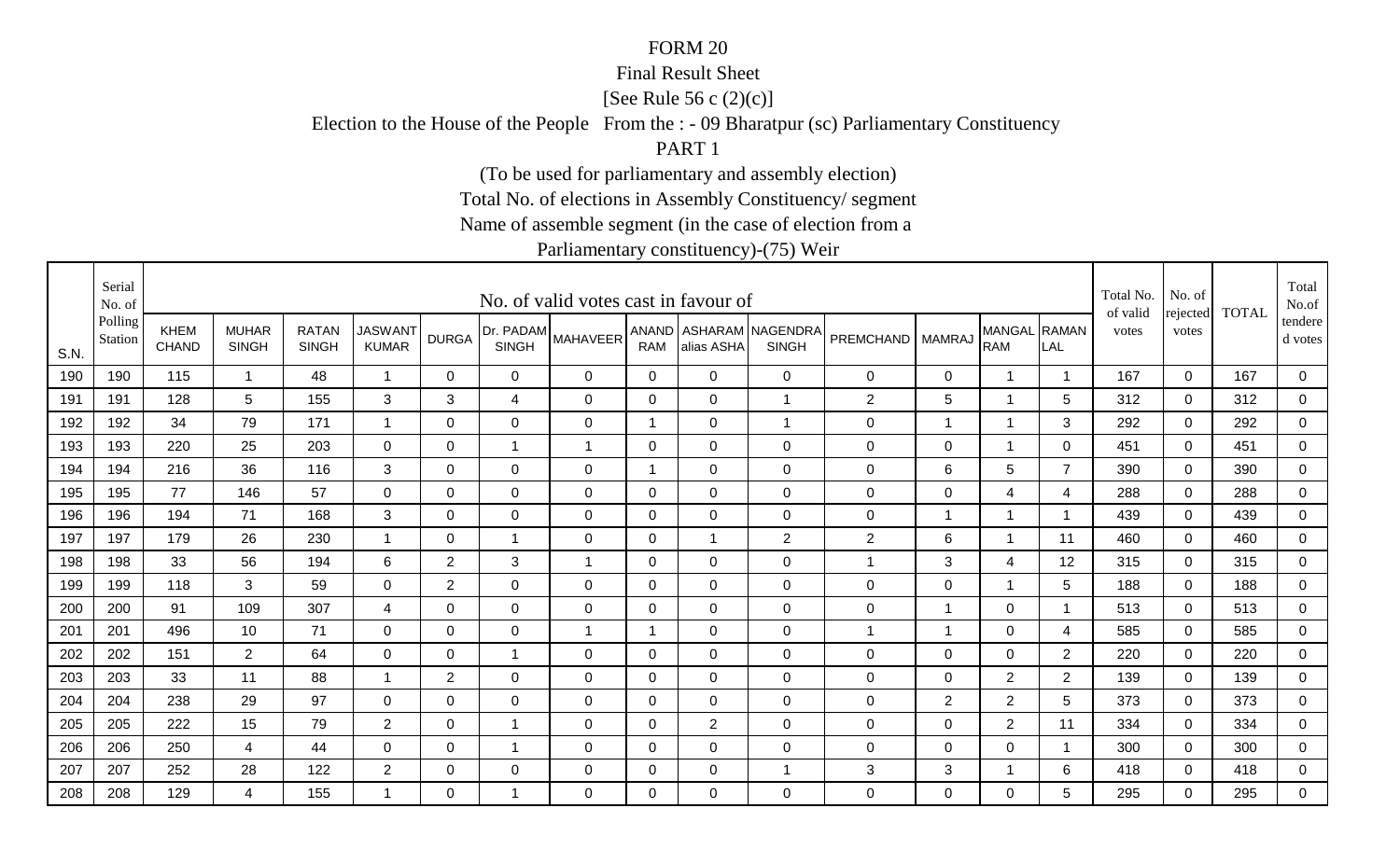#### Final Result Sheet

[See Rule 56 c (2)(c)]

Election to the House of the People From the : - 09 Bharatpur (sc) Parliamentary Constituency

PART 1

(To be used for parliamentary and assembly election)

Total No. of elections in Assembly Constituency/ segment

Name of assemble segment (in the case of election from a

|      | Serial<br>No. of   |                             |                              |                              |                                |                |                           | No. of valid votes cast in favour of |                |                |                                        |                      |                |                            |                | Total No.<br>of valid | No. of            | <b>TOTAL</b> | Total<br>No.of     |
|------|--------------------|-----------------------------|------------------------------|------------------------------|--------------------------------|----------------|---------------------------|--------------------------------------|----------------|----------------|----------------------------------------|----------------------|----------------|----------------------------|----------------|-----------------------|-------------------|--------------|--------------------|
| S.N. | Polling<br>Station | <b>KHEM</b><br><b>CHAND</b> | <b>MUHAR</b><br><b>SINGH</b> | <b>RATAN</b><br><b>SINGH</b> | <b>JASWANT</b><br><b>KUMAR</b> | <b>DURGA</b>   | Dr. PADAM<br><b>SINGH</b> | <b>MAHAVEER</b>                      | <b>RAM</b>     | alias ASHA     | ANAND ASHARAM NAGENDRA<br><b>SINGH</b> | PREMCHAND   MAMRAJ   |                | MANGAL RAMAN<br><b>RAM</b> | LAL            | votes                 | rejected<br>votes |              | tendere<br>d votes |
| 190  | 190                | 115                         | $\mathbf{1}$                 | 48                           | $\overline{1}$                 | $\Omega$       | $\mathbf 0$               | 0                                    | 0              | $\mathbf 0$    | $\mathbf 0$                            | 0                    | $\mathbf 0$    | $\overline{1}$             |                | 167                   | $\mathbf 0$       | 167          | $\mathbf 0$        |
| 191  | 191                | 128                         | 5                            | 155                          | 3                              | 3              | $\overline{4}$            | $\mathbf 0$                          | $\mathbf 0$    | $\mathbf 0$    | $\overline{1}$                         | $\overline{2}$       | 5              | $\overline{1}$             | 5              | 312                   | $\mathbf 0$       | 312          | $\mathbf 0$        |
| 192  | 192                | 34                          | 79                           | 171                          | -1                             | 0              | $\mathbf 0$               | 0                                    | -1             | $\mathbf 0$    | $\overline{1}$                         | 0                    | 1              | $\overline{1}$             | 3              | 292                   | 0                 | 292          | $\mathbf 0$        |
| 193  | 193                | 220                         | 25                           | 203                          | $\Omega$                       | 0              | $\mathbf 1$               | $\mathbf 1$                          | 0              | $\Omega$       | $\mathbf 0$                            | 0                    | $\mathbf 0$    | $\overline{1}$             | $\Omega$       | 451                   | $\mathbf 0$       | 451          | $\mathbf 0$        |
| 194  | 194                | 216                         | 36                           | 116                          | 3                              | $\Omega$       | $\mathbf 0$               | $\mathbf 0$                          | -1             | $\Omega$       | $\overline{0}$                         | 0                    | 6              | $5\phantom{.0}$            | $\overline{7}$ | 390                   | $\mathbf 0$       | 390          | $\mathbf 0$        |
| 195  | 195                | 77                          | 146                          | 57                           | $\mathbf 0$                    | 0              | 0                         | $\mathbf 0$                          | 0              | $\mathbf 0$    | $\mathbf 0$                            | 0                    | $\mathsf 0$    | $\overline{4}$             | $\overline{4}$ | 288                   | $\mathbf 0$       | 288          | $\mathbf 0$        |
| 196  | 196                | 194                         | 71                           | 168                          | 3                              | $\Omega$       | $\mathbf 0$               | $\mathbf 0$                          | 0              | $\Omega$       | $\overline{0}$                         | $\mathbf 0$          | $\overline{1}$ | $\overline{1}$             |                | 439                   | $\mathbf{0}$      | 439          | $\mathbf 0$        |
| 197  | 197                | 179                         | 26                           | 230                          | $\overline{1}$                 | 0              | $\mathbf 1$               | 0                                    | 0              |                | 2                                      | $\overline{c}$       | 6              | $\overline{1}$             | 11             | 460                   | $\mathbf 0$       | 460          | $\mathbf 0$        |
| 198  | 198                | 33                          | 56                           | 194                          | 6                              | $\overline{2}$ | 3                         | $\mathbf 1$                          | 0              | 0              | $\mathbf 0$                            | 1                    | 3              | 4                          | 12             | 315                   | $\mathbf 0$       | 315          | $\mathbf 0$        |
| 199  | 199                | 118                         | 3                            | 59                           | 0                              | $\overline{2}$ | 0                         | 0                                    | 0              | 0              | $\mathbf 0$                            | 0                    | 0              | $\overline{1}$             | 5              | 188                   | $\mathbf{0}$      | 188          | $\mathbf 0$        |
| 200  | 200                | 91                          | 109                          | 307                          | $\overline{4}$                 | $\Omega$       | 0                         | $\mathbf 0$                          | 0              | $\Omega$       | $\mathbf 0$                            | 0                    | 1              | $\mathbf 0$                |                | 513                   | $\mathbf 0$       | 513          | $\mathbf 0$        |
| 201  | 201                | 496                         | 10                           | 71                           | 0                              | $\Omega$       | $\mathbf 0$               | $\overline{1}$                       | -1             | 0              | $\overline{0}$                         | $\blacktriangleleft$ | 1              | $\mathbf 0$                | $\overline{4}$ | 585                   | $\mathbf 0$       | 585          | $\mathbf 0$        |
| 202  | 202                | 151                         | $\overline{2}$               | 64                           | 0                              | 0              | 1                         | 0                                    | 0              | 0              | $\mathbf 0$                            | 0                    | $\mathbf 0$    | $\mathbf 0$                | $\overline{2}$ | 220                   | $\mathbf 0$       | 220          | $\mathbf 0$        |
| 203  | 203                | 33                          | 11                           | 88                           | -1                             | $\overline{2}$ | $\mathbf 0$               | 0                                    | $\overline{0}$ | 0              | $\mathbf 0$                            | 0                    | $\mathbf 0$    | $\overline{2}$             | $\overline{2}$ | 139                   | $\mathbf 0$       | 139          | $\mathbf 0$        |
| 204  | 204                | 238                         | 29                           | 97                           | 0                              | $\Omega$       | 0                         | 0                                    | 0              | 0              | $\mathbf 0$                            | 0                    | $\overline{2}$ | $\overline{2}$             | 5              | 373                   | $\mathbf 0$       | 373          | $\overline{0}$     |
| 205  | 205                | 222                         | 15                           | 79                           | $\overline{2}$                 | 0              | $\mathbf 1$               | 0                                    | $\mathbf 0$    | $\overline{2}$ | $\mathbf 0$                            | 0                    | $\mathbf 0$    | $\overline{2}$             | 11             | 334                   | $\mathbf 0$       | 334          | $\overline{0}$     |
| 206  | 206                | 250                         | 4                            | 44                           | 0                              | $\Omega$       | 1                         | 0                                    | 0              | 0              | $\mathbf 0$                            | 0                    | $\mathbf 0$    | $\mathbf 0$                |                | 300                   | $\mathbf 0$       | 300          | $\mathbf 0$        |
| 207  | 207                | 252                         | 28                           | 122                          | $\overline{2}$                 | 0              | $\mathbf 0$               | 0                                    | 0              | 0              | $\overline{1}$                         | 3                    | $\sqrt{3}$     | $\overline{1}$             | 6              | 418                   | $\mathbf 0$       | 418          | $\overline{0}$     |
| 208  | 208                | 129                         | 4                            | 155                          |                                | $\Omega$       | -1                        | $\Omega$                             | $\mathbf{0}$   | $\Omega$       | $\overline{0}$                         | 0                    | $\Omega$       | $\mathbf 0$                | 5              | 295                   | $\Omega$          | 295          | $\overline{0}$     |